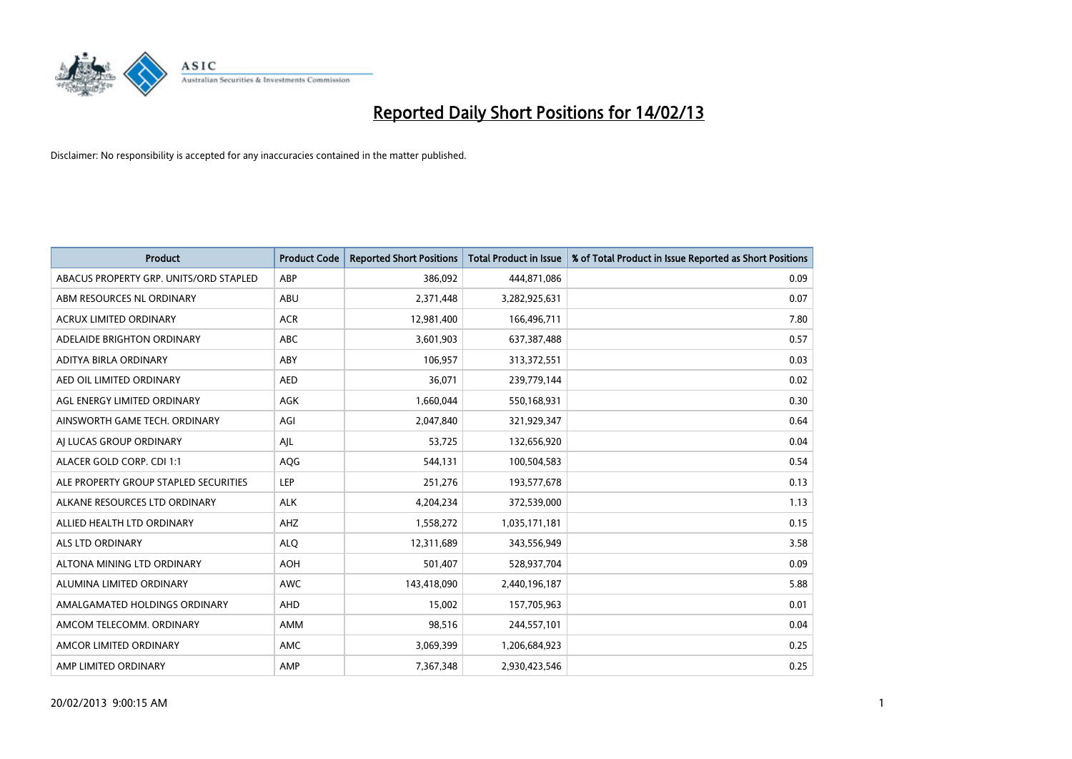

| <b>Product</b>                         | <b>Product Code</b> | <b>Reported Short Positions</b> | <b>Total Product in Issue</b> | % of Total Product in Issue Reported as Short Positions |
|----------------------------------------|---------------------|---------------------------------|-------------------------------|---------------------------------------------------------|
| ABACUS PROPERTY GRP. UNITS/ORD STAPLED | ABP                 | 386,092                         | 444,871,086                   | 0.09                                                    |
| ABM RESOURCES NL ORDINARY              | ABU                 | 2,371,448                       | 3,282,925,631                 | 0.07                                                    |
| <b>ACRUX LIMITED ORDINARY</b>          | <b>ACR</b>          | 12,981,400                      | 166,496,711                   | 7.80                                                    |
| ADELAIDE BRIGHTON ORDINARY             | ABC                 | 3,601,903                       | 637,387,488                   | 0.57                                                    |
| <b>ADITYA BIRLA ORDINARY</b>           | ABY                 | 106.957                         | 313,372,551                   | 0.03                                                    |
| AED OIL LIMITED ORDINARY               | <b>AED</b>          | 36,071                          | 239,779,144                   | 0.02                                                    |
| AGL ENERGY LIMITED ORDINARY            | <b>AGK</b>          | 1,660,044                       | 550,168,931                   | 0.30                                                    |
| AINSWORTH GAME TECH. ORDINARY          | AGI                 | 2,047,840                       | 321,929,347                   | 0.64                                                    |
| AI LUCAS GROUP ORDINARY                | AIL                 | 53,725                          | 132,656,920                   | 0.04                                                    |
| ALACER GOLD CORP. CDI 1:1              | AQG                 | 544,131                         | 100,504,583                   | 0.54                                                    |
| ALE PROPERTY GROUP STAPLED SECURITIES  | LEP                 | 251,276                         | 193,577,678                   | 0.13                                                    |
| ALKANE RESOURCES LTD ORDINARY          | <b>ALK</b>          | 4,204,234                       | 372,539,000                   | 1.13                                                    |
| ALLIED HEALTH LTD ORDINARY             | AHZ                 | 1,558,272                       | 1,035,171,181                 | 0.15                                                    |
| <b>ALS LTD ORDINARY</b>                | <b>ALO</b>          | 12,311,689                      | 343,556,949                   | 3.58                                                    |
| ALTONA MINING LTD ORDINARY             | <b>AOH</b>          | 501,407                         | 528,937,704                   | 0.09                                                    |
| ALUMINA LIMITED ORDINARY               | <b>AWC</b>          | 143,418,090                     | 2,440,196,187                 | 5.88                                                    |
| AMALGAMATED HOLDINGS ORDINARY          | AHD                 | 15,002                          | 157,705,963                   | 0.01                                                    |
| AMCOM TELECOMM. ORDINARY               | <b>AMM</b>          | 98,516                          | 244,557,101                   | 0.04                                                    |
| AMCOR LIMITED ORDINARY                 | <b>AMC</b>          | 3,069,399                       | 1,206,684,923                 | 0.25                                                    |
| AMP LIMITED ORDINARY                   | AMP                 | 7,367,348                       | 2,930,423,546                 | 0.25                                                    |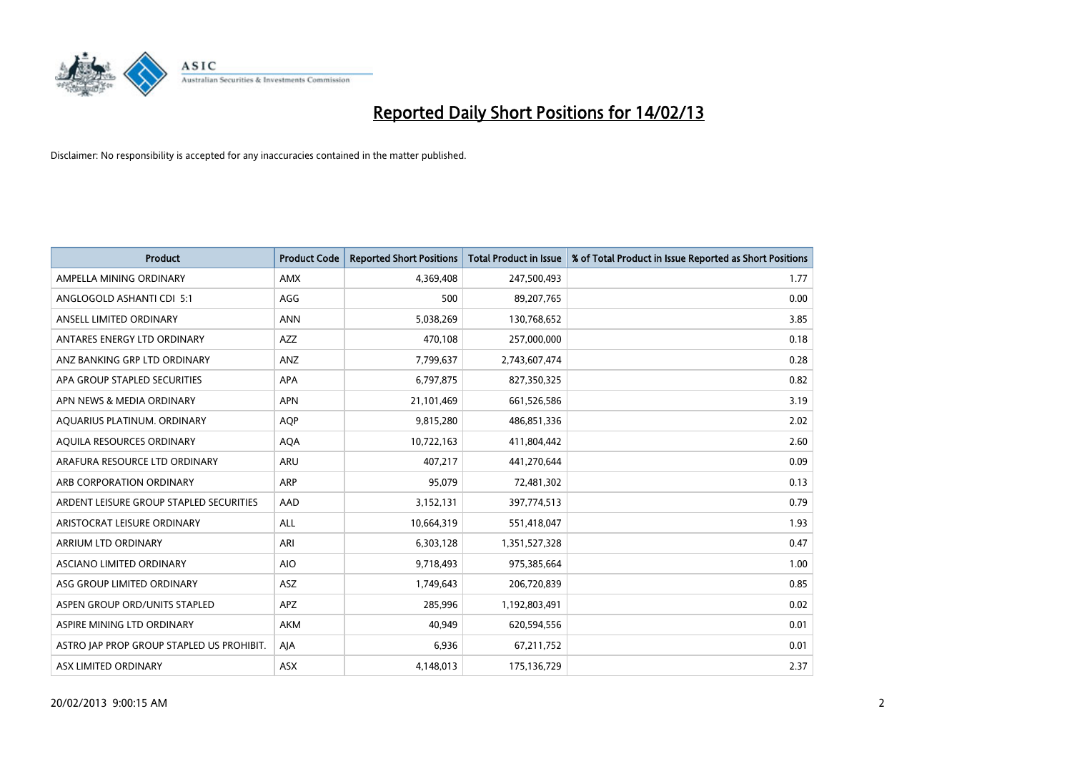

| <b>Product</b>                            | <b>Product Code</b> | <b>Reported Short Positions</b> | <b>Total Product in Issue</b> | % of Total Product in Issue Reported as Short Positions |
|-------------------------------------------|---------------------|---------------------------------|-------------------------------|---------------------------------------------------------|
| AMPELLA MINING ORDINARY                   | <b>AMX</b>          | 4,369,408                       | 247,500,493                   | 1.77                                                    |
| ANGLOGOLD ASHANTI CDI 5:1                 | AGG                 | 500                             | 89,207,765                    | 0.00                                                    |
| ANSELL LIMITED ORDINARY                   | <b>ANN</b>          | 5,038,269                       | 130,768,652                   | 3.85                                                    |
| ANTARES ENERGY LTD ORDINARY               | <b>AZZ</b>          | 470,108                         | 257,000,000                   | 0.18                                                    |
| ANZ BANKING GRP LTD ORDINARY              | ANZ                 | 7,799,637                       | 2,743,607,474                 | 0.28                                                    |
| APA GROUP STAPLED SECURITIES              | <b>APA</b>          | 6,797,875                       | 827,350,325                   | 0.82                                                    |
| APN NEWS & MEDIA ORDINARY                 | <b>APN</b>          | 21,101,469                      | 661,526,586                   | 3.19                                                    |
| AQUARIUS PLATINUM. ORDINARY               | <b>AOP</b>          | 9,815,280                       | 486,851,336                   | 2.02                                                    |
| AQUILA RESOURCES ORDINARY                 | <b>AQA</b>          | 10,722,163                      | 411,804,442                   | 2.60                                                    |
| ARAFURA RESOURCE LTD ORDINARY             | <b>ARU</b>          | 407,217                         | 441,270,644                   | 0.09                                                    |
| ARB CORPORATION ORDINARY                  | <b>ARP</b>          | 95,079                          | 72,481,302                    | 0.13                                                    |
| ARDENT LEISURE GROUP STAPLED SECURITIES   | AAD                 | 3,152,131                       | 397,774,513                   | 0.79                                                    |
| ARISTOCRAT LEISURE ORDINARY               | ALL                 | 10,664,319                      | 551,418,047                   | 1.93                                                    |
| ARRIUM LTD ORDINARY                       | ARI                 | 6,303,128                       | 1,351,527,328                 | 0.47                                                    |
| ASCIANO LIMITED ORDINARY                  | <b>AIO</b>          | 9,718,493                       | 975,385,664                   | 1.00                                                    |
| ASG GROUP LIMITED ORDINARY                | ASZ                 | 1,749,643                       | 206,720,839                   | 0.85                                                    |
| ASPEN GROUP ORD/UNITS STAPLED             | <b>APZ</b>          | 285,996                         | 1,192,803,491                 | 0.02                                                    |
| ASPIRE MINING LTD ORDINARY                | <b>AKM</b>          | 40,949                          | 620,594,556                   | 0.01                                                    |
| ASTRO JAP PROP GROUP STAPLED US PROHIBIT. | AIA                 | 6,936                           | 67,211,752                    | 0.01                                                    |
| ASX LIMITED ORDINARY                      | ASX                 | 4,148,013                       | 175,136,729                   | 2.37                                                    |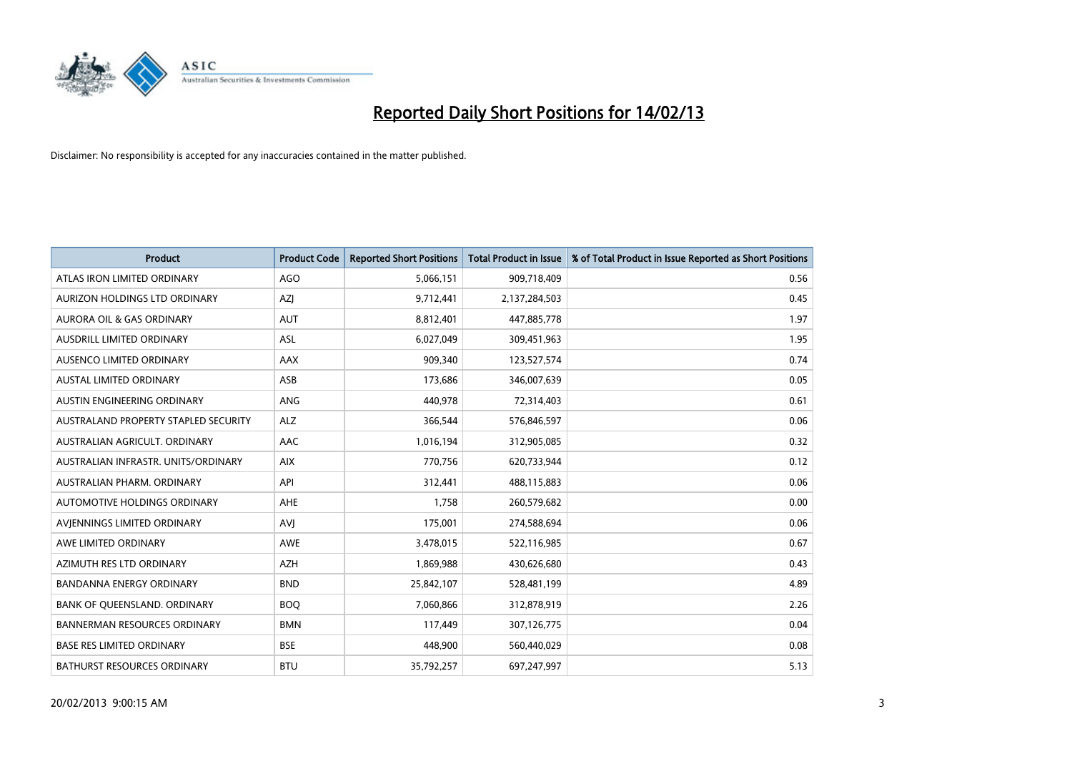

| <b>Product</b>                       | <b>Product Code</b> | <b>Reported Short Positions</b> | <b>Total Product in Issue</b> | % of Total Product in Issue Reported as Short Positions |
|--------------------------------------|---------------------|---------------------------------|-------------------------------|---------------------------------------------------------|
| ATLAS IRON LIMITED ORDINARY          | AGO                 | 5,066,151                       | 909,718,409                   | 0.56                                                    |
| AURIZON HOLDINGS LTD ORDINARY        | <b>AZI</b>          | 9,712,441                       | 2,137,284,503                 | 0.45                                                    |
| <b>AURORA OIL &amp; GAS ORDINARY</b> | <b>AUT</b>          | 8,812,401                       | 447,885,778                   | 1.97                                                    |
| AUSDRILL LIMITED ORDINARY            | ASL                 | 6,027,049                       | 309,451,963                   | 1.95                                                    |
| AUSENCO LIMITED ORDINARY             | AAX                 | 909,340                         | 123,527,574                   | 0.74                                                    |
| <b>AUSTAL LIMITED ORDINARY</b>       | ASB                 | 173,686                         | 346,007,639                   | 0.05                                                    |
| AUSTIN ENGINEERING ORDINARY          | <b>ANG</b>          | 440.978                         | 72,314,403                    | 0.61                                                    |
| AUSTRALAND PROPERTY STAPLED SECURITY | <b>ALZ</b>          | 366,544                         | 576,846,597                   | 0.06                                                    |
| AUSTRALIAN AGRICULT. ORDINARY        | AAC                 | 1,016,194                       | 312,905,085                   | 0.32                                                    |
| AUSTRALIAN INFRASTR, UNITS/ORDINARY  | <b>AIX</b>          | 770,756                         | 620,733,944                   | 0.12                                                    |
| AUSTRALIAN PHARM, ORDINARY           | API                 | 312,441                         | 488,115,883                   | 0.06                                                    |
| AUTOMOTIVE HOLDINGS ORDINARY         | AHE                 | 1,758                           | 260,579,682                   | 0.00                                                    |
| AVIENNINGS LIMITED ORDINARY          | AVI                 | 175,001                         | 274,588,694                   | 0.06                                                    |
| AWE LIMITED ORDINARY                 | <b>AWE</b>          | 3,478,015                       | 522,116,985                   | 0.67                                                    |
| AZIMUTH RES LTD ORDINARY             | <b>AZH</b>          | 1,869,988                       | 430,626,680                   | 0.43                                                    |
| <b>BANDANNA ENERGY ORDINARY</b>      | <b>BND</b>          | 25,842,107                      | 528,481,199                   | 4.89                                                    |
| BANK OF QUEENSLAND. ORDINARY         | <b>BOQ</b>          | 7,060,866                       | 312,878,919                   | 2.26                                                    |
| <b>BANNERMAN RESOURCES ORDINARY</b>  | <b>BMN</b>          | 117,449                         | 307,126,775                   | 0.04                                                    |
| <b>BASE RES LIMITED ORDINARY</b>     | <b>BSE</b>          | 448,900                         | 560,440,029                   | 0.08                                                    |
| <b>BATHURST RESOURCES ORDINARY</b>   | <b>BTU</b>          | 35,792,257                      | 697,247,997                   | 5.13                                                    |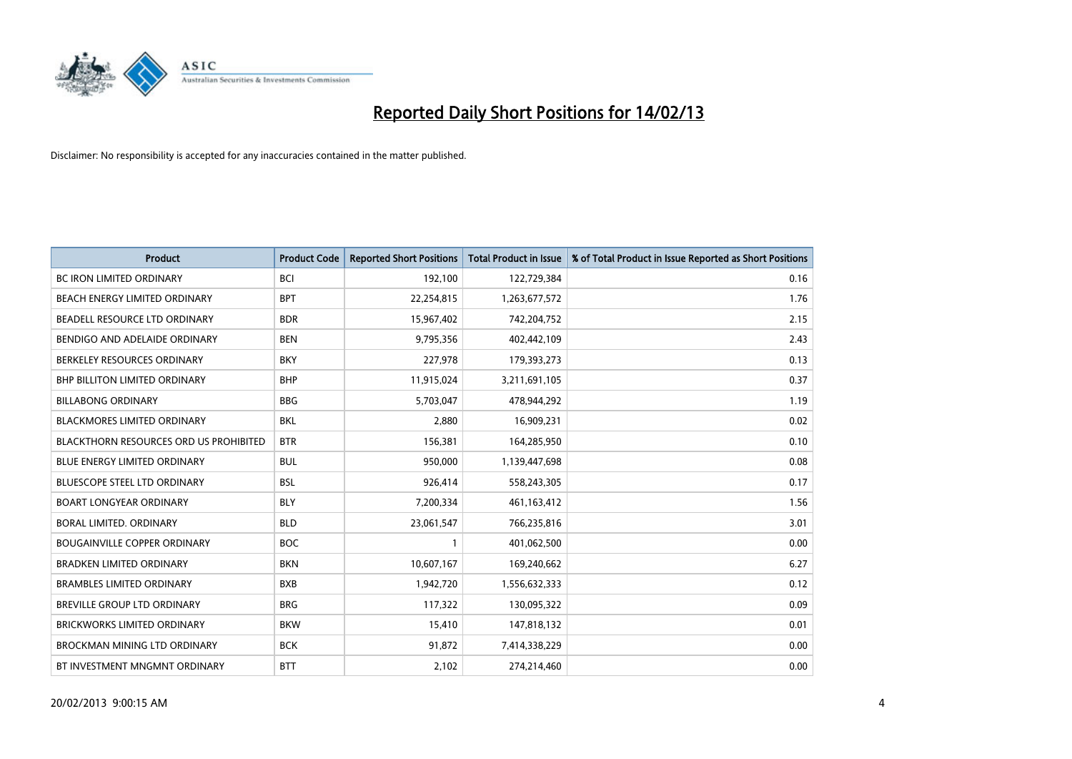

| <b>Product</b>                                | <b>Product Code</b> | <b>Reported Short Positions</b> | <b>Total Product in Issue</b> | % of Total Product in Issue Reported as Short Positions |
|-----------------------------------------------|---------------------|---------------------------------|-------------------------------|---------------------------------------------------------|
| <b>BC IRON LIMITED ORDINARY</b>               | <b>BCI</b>          | 192,100                         | 122,729,384                   | 0.16                                                    |
| <b>BEACH ENERGY LIMITED ORDINARY</b>          | <b>BPT</b>          | 22,254,815                      | 1,263,677,572                 | 1.76                                                    |
| BEADELL RESOURCE LTD ORDINARY                 | <b>BDR</b>          | 15,967,402                      | 742,204,752                   | 2.15                                                    |
| BENDIGO AND ADELAIDE ORDINARY                 | <b>BEN</b>          | 9,795,356                       | 402,442,109                   | 2.43                                                    |
| BERKELEY RESOURCES ORDINARY                   | <b>BKY</b>          | 227,978                         | 179,393,273                   | 0.13                                                    |
| <b>BHP BILLITON LIMITED ORDINARY</b>          | <b>BHP</b>          | 11,915,024                      | 3,211,691,105                 | 0.37                                                    |
| <b>BILLABONG ORDINARY</b>                     | <b>BBG</b>          | 5,703,047                       | 478,944,292                   | 1.19                                                    |
| <b>BLACKMORES LIMITED ORDINARY</b>            | <b>BKL</b>          | 2.880                           | 16,909,231                    | 0.02                                                    |
| <b>BLACKTHORN RESOURCES ORD US PROHIBITED</b> | <b>BTR</b>          | 156,381                         | 164,285,950                   | 0.10                                                    |
| <b>BLUE ENERGY LIMITED ORDINARY</b>           | <b>BUL</b>          | 950,000                         | 1,139,447,698                 | 0.08                                                    |
| <b>BLUESCOPE STEEL LTD ORDINARY</b>           | <b>BSL</b>          | 926,414                         | 558,243,305                   | 0.17                                                    |
| <b>BOART LONGYEAR ORDINARY</b>                | <b>BLY</b>          | 7,200,334                       | 461,163,412                   | 1.56                                                    |
| BORAL LIMITED, ORDINARY                       | <b>BLD</b>          | 23,061,547                      | 766,235,816                   | 3.01                                                    |
| <b>BOUGAINVILLE COPPER ORDINARY</b>           | <b>BOC</b>          |                                 | 401,062,500                   | 0.00                                                    |
| <b>BRADKEN LIMITED ORDINARY</b>               | <b>BKN</b>          | 10,607,167                      | 169,240,662                   | 6.27                                                    |
| <b>BRAMBLES LIMITED ORDINARY</b>              | <b>BXB</b>          | 1,942,720                       | 1,556,632,333                 | 0.12                                                    |
| BREVILLE GROUP LTD ORDINARY                   | <b>BRG</b>          | 117,322                         | 130,095,322                   | 0.09                                                    |
| <b>BRICKWORKS LIMITED ORDINARY</b>            | <b>BKW</b>          | 15,410                          | 147,818,132                   | 0.01                                                    |
| <b>BROCKMAN MINING LTD ORDINARY</b>           | <b>BCK</b>          | 91,872                          | 7,414,338,229                 | 0.00                                                    |
| BT INVESTMENT MNGMNT ORDINARY                 | <b>BTT</b>          | 2,102                           | 274,214,460                   | 0.00                                                    |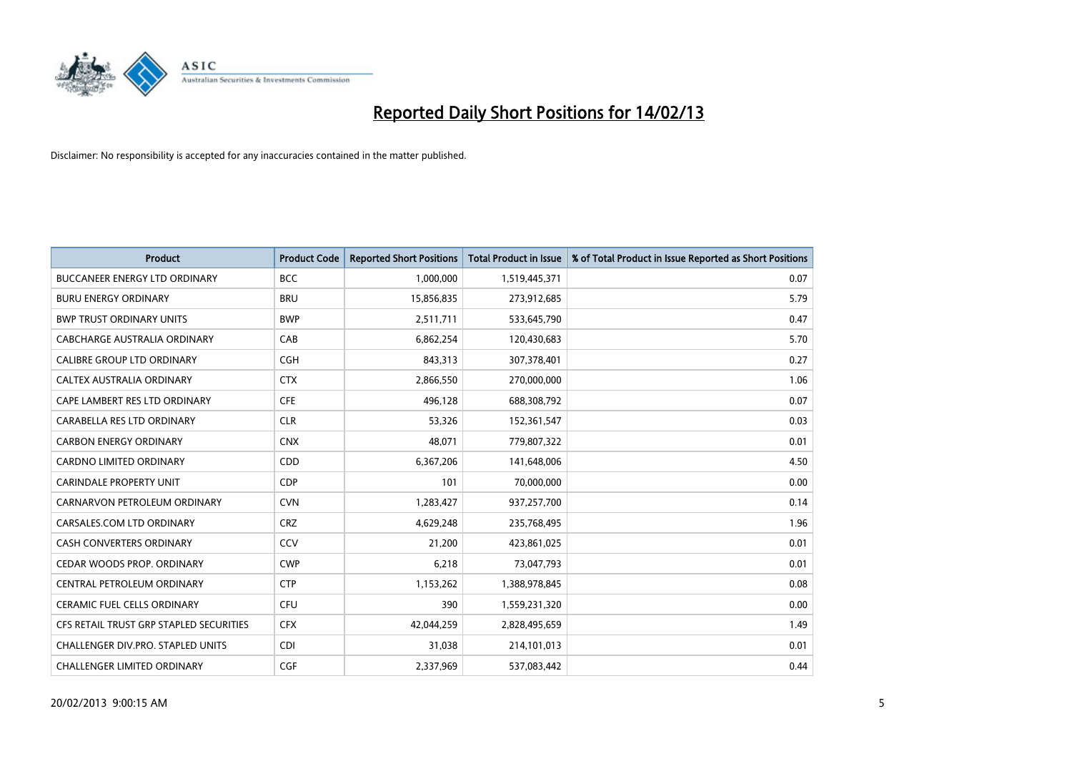

| <b>Product</b>                          | <b>Product Code</b> | <b>Reported Short Positions</b> | <b>Total Product in Issue</b> | % of Total Product in Issue Reported as Short Positions |
|-----------------------------------------|---------------------|---------------------------------|-------------------------------|---------------------------------------------------------|
| <b>BUCCANEER ENERGY LTD ORDINARY</b>    | <b>BCC</b>          | 1,000,000                       | 1,519,445,371                 | 0.07                                                    |
| <b>BURU ENERGY ORDINARY</b>             | <b>BRU</b>          | 15,856,835                      | 273,912,685                   | 5.79                                                    |
| <b>BWP TRUST ORDINARY UNITS</b>         | <b>BWP</b>          | 2,511,711                       | 533,645,790                   | 0.47                                                    |
| CABCHARGE AUSTRALIA ORDINARY            | CAB                 | 6,862,254                       | 120,430,683                   | 5.70                                                    |
| <b>CALIBRE GROUP LTD ORDINARY</b>       | <b>CGH</b>          | 843,313                         | 307,378,401                   | 0.27                                                    |
| CALTEX AUSTRALIA ORDINARY               | <b>CTX</b>          | 2,866,550                       | 270,000,000                   | 1.06                                                    |
| CAPE LAMBERT RES LTD ORDINARY           | <b>CFE</b>          | 496,128                         | 688,308,792                   | 0.07                                                    |
| CARABELLA RES LTD ORDINARY              | <b>CLR</b>          | 53,326                          | 152,361,547                   | 0.03                                                    |
| <b>CARBON ENERGY ORDINARY</b>           | <b>CNX</b>          | 48,071                          | 779,807,322                   | 0.01                                                    |
| <b>CARDNO LIMITED ORDINARY</b>          | CDD                 | 6,367,206                       | 141,648,006                   | 4.50                                                    |
| <b>CARINDALE PROPERTY UNIT</b>          | <b>CDP</b>          | 101                             | 70,000,000                    | 0.00                                                    |
| CARNARVON PETROLEUM ORDINARY            | <b>CVN</b>          | 1,283,427                       | 937,257,700                   | 0.14                                                    |
| CARSALES.COM LTD ORDINARY               | <b>CRZ</b>          | 4,629,248                       | 235,768,495                   | 1.96                                                    |
| <b>CASH CONVERTERS ORDINARY</b>         | CCV                 | 21,200                          | 423,861,025                   | 0.01                                                    |
| CEDAR WOODS PROP. ORDINARY              | <b>CWP</b>          | 6,218                           | 73,047,793                    | 0.01                                                    |
| CENTRAL PETROLEUM ORDINARY              | <b>CTP</b>          | 1,153,262                       | 1,388,978,845                 | 0.08                                                    |
| <b>CERAMIC FUEL CELLS ORDINARY</b>      | <b>CFU</b>          | 390                             | 1,559,231,320                 | 0.00                                                    |
| CFS RETAIL TRUST GRP STAPLED SECURITIES | <b>CFX</b>          | 42,044,259                      | 2,828,495,659                 | 1.49                                                    |
| CHALLENGER DIV.PRO. STAPLED UNITS       | <b>CDI</b>          | 31,038                          | 214,101,013                   | 0.01                                                    |
| CHALLENGER LIMITED ORDINARY             | <b>CGF</b>          | 2,337,969                       | 537,083,442                   | 0.44                                                    |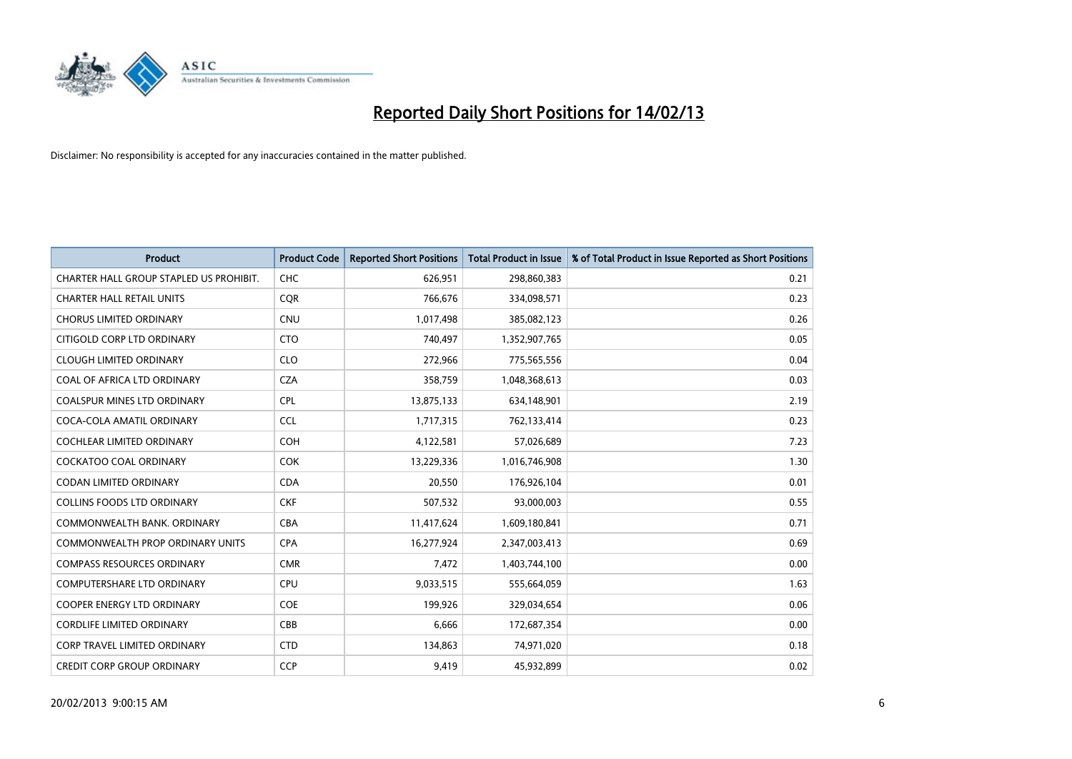

| <b>Product</b>                          | <b>Product Code</b> | <b>Reported Short Positions</b> | <b>Total Product in Issue</b> | % of Total Product in Issue Reported as Short Positions |
|-----------------------------------------|---------------------|---------------------------------|-------------------------------|---------------------------------------------------------|
| CHARTER HALL GROUP STAPLED US PROHIBIT. | <b>CHC</b>          | 626,951                         | 298,860,383                   | 0.21                                                    |
| <b>CHARTER HALL RETAIL UNITS</b>        | <b>COR</b>          | 766,676                         | 334,098,571                   | 0.23                                                    |
| <b>CHORUS LIMITED ORDINARY</b>          | <b>CNU</b>          | 1,017,498                       | 385,082,123                   | 0.26                                                    |
| CITIGOLD CORP LTD ORDINARY              | <b>CTO</b>          | 740,497                         | 1,352,907,765                 | 0.05                                                    |
| <b>CLOUGH LIMITED ORDINARY</b>          | <b>CLO</b>          | 272,966                         | 775,565,556                   | 0.04                                                    |
| COAL OF AFRICA LTD ORDINARY             | <b>CZA</b>          | 358,759                         | 1,048,368,613                 | 0.03                                                    |
| <b>COALSPUR MINES LTD ORDINARY</b>      | <b>CPL</b>          | 13,875,133                      | 634,148,901                   | 2.19                                                    |
| COCA-COLA AMATIL ORDINARY               | <b>CCL</b>          | 1,717,315                       | 762,133,414                   | 0.23                                                    |
| <b>COCHLEAR LIMITED ORDINARY</b>        | <b>COH</b>          | 4,122,581                       | 57,026,689                    | 7.23                                                    |
| <b>COCKATOO COAL ORDINARY</b>           | <b>COK</b>          | 13,229,336                      | 1,016,746,908                 | 1.30                                                    |
| CODAN LIMITED ORDINARY                  | <b>CDA</b>          | 20,550                          | 176,926,104                   | 0.01                                                    |
| <b>COLLINS FOODS LTD ORDINARY</b>       | <b>CKF</b>          | 507,532                         | 93,000,003                    | 0.55                                                    |
| COMMONWEALTH BANK, ORDINARY             | <b>CBA</b>          | 11,417,624                      | 1,609,180,841                 | 0.71                                                    |
| <b>COMMONWEALTH PROP ORDINARY UNITS</b> | <b>CPA</b>          | 16,277,924                      | 2,347,003,413                 | 0.69                                                    |
| <b>COMPASS RESOURCES ORDINARY</b>       | <b>CMR</b>          | 7,472                           | 1,403,744,100                 | 0.00                                                    |
| COMPUTERSHARE LTD ORDINARY              | <b>CPU</b>          | 9,033,515                       | 555,664,059                   | 1.63                                                    |
| COOPER ENERGY LTD ORDINARY              | <b>COE</b>          | 199,926                         | 329,034,654                   | 0.06                                                    |
| <b>CORDLIFE LIMITED ORDINARY</b>        | CBB                 | 6,666                           | 172,687,354                   | 0.00                                                    |
| <b>CORP TRAVEL LIMITED ORDINARY</b>     | <b>CTD</b>          | 134,863                         | 74,971,020                    | 0.18                                                    |
| <b>CREDIT CORP GROUP ORDINARY</b>       | <b>CCP</b>          | 9,419                           | 45,932,899                    | 0.02                                                    |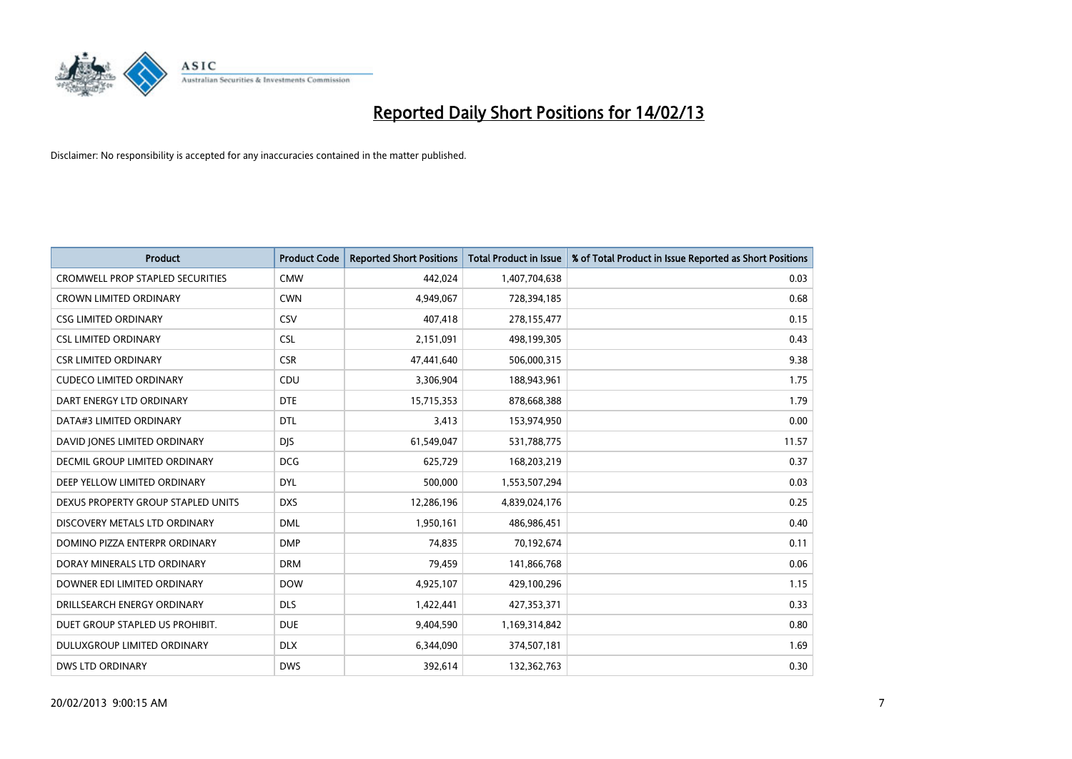

| <b>Product</b>                          | <b>Product Code</b> | <b>Reported Short Positions</b> | <b>Total Product in Issue</b> | % of Total Product in Issue Reported as Short Positions |
|-----------------------------------------|---------------------|---------------------------------|-------------------------------|---------------------------------------------------------|
| <b>CROMWELL PROP STAPLED SECURITIES</b> | <b>CMW</b>          | 442,024                         | 1,407,704,638                 | 0.03                                                    |
| <b>CROWN LIMITED ORDINARY</b>           | <b>CWN</b>          | 4,949,067                       | 728,394,185                   | 0.68                                                    |
| <b>CSG LIMITED ORDINARY</b>             | CSV                 | 407,418                         | 278,155,477                   | 0.15                                                    |
| <b>CSL LIMITED ORDINARY</b>             | <b>CSL</b>          | 2,151,091                       | 498,199,305                   | 0.43                                                    |
| <b>CSR LIMITED ORDINARY</b>             | <b>CSR</b>          | 47,441,640                      | 506,000,315                   | 9.38                                                    |
| <b>CUDECO LIMITED ORDINARY</b>          | CDU                 | 3,306,904                       | 188,943,961                   | 1.75                                                    |
| DART ENERGY LTD ORDINARY                | <b>DTE</b>          | 15,715,353                      | 878,668,388                   | 1.79                                                    |
| DATA#3 LIMITED ORDINARY                 | <b>DTL</b>          | 3,413                           | 153,974,950                   | 0.00                                                    |
| DAVID JONES LIMITED ORDINARY            | <b>DJS</b>          | 61,549,047                      | 531,788,775                   | 11.57                                                   |
| DECMIL GROUP LIMITED ORDINARY           | <b>DCG</b>          | 625,729                         | 168,203,219                   | 0.37                                                    |
| DEEP YELLOW LIMITED ORDINARY            | <b>DYL</b>          | 500,000                         | 1,553,507,294                 | 0.03                                                    |
| DEXUS PROPERTY GROUP STAPLED UNITS      | <b>DXS</b>          | 12,286,196                      | 4,839,024,176                 | 0.25                                                    |
| DISCOVERY METALS LTD ORDINARY           | <b>DML</b>          | 1,950,161                       | 486,986,451                   | 0.40                                                    |
| DOMINO PIZZA ENTERPR ORDINARY           | <b>DMP</b>          | 74.835                          | 70,192,674                    | 0.11                                                    |
| DORAY MINERALS LTD ORDINARY             | <b>DRM</b>          | 79,459                          | 141,866,768                   | 0.06                                                    |
| DOWNER EDI LIMITED ORDINARY             | <b>DOW</b>          | 4,925,107                       | 429,100,296                   | 1.15                                                    |
| DRILLSEARCH ENERGY ORDINARY             | <b>DLS</b>          | 1,422,441                       | 427,353,371                   | 0.33                                                    |
| DUET GROUP STAPLED US PROHIBIT.         | <b>DUE</b>          | 9,404,590                       | 1,169,314,842                 | 0.80                                                    |
| DULUXGROUP LIMITED ORDINARY             | <b>DLX</b>          | 6,344,090                       | 374,507,181                   | 1.69                                                    |
| <b>DWS LTD ORDINARY</b>                 | <b>DWS</b>          | 392.614                         | 132,362,763                   | 0.30                                                    |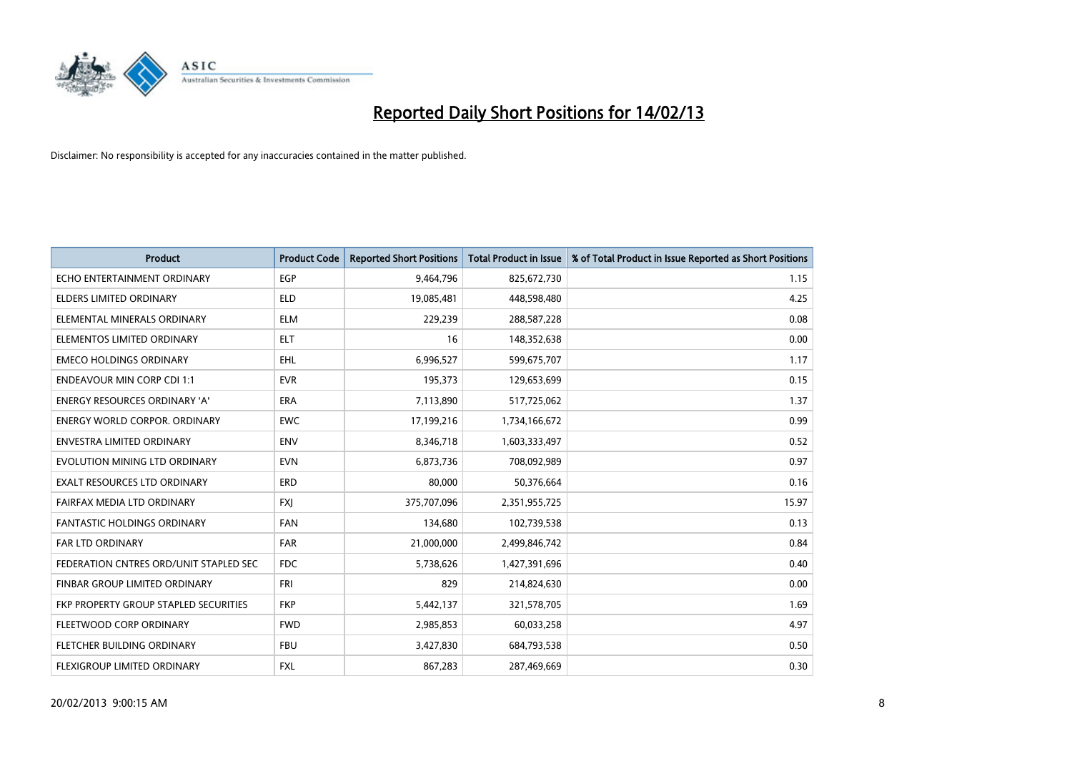

| <b>Product</b>                         | <b>Product Code</b> | <b>Reported Short Positions</b> | <b>Total Product in Issue</b> | % of Total Product in Issue Reported as Short Positions |
|----------------------------------------|---------------------|---------------------------------|-------------------------------|---------------------------------------------------------|
| ECHO ENTERTAINMENT ORDINARY            | EGP                 | 9,464,796                       | 825,672,730                   | 1.15                                                    |
| ELDERS LIMITED ORDINARY                | <b>ELD</b>          | 19,085,481                      | 448,598,480                   | 4.25                                                    |
| ELEMENTAL MINERALS ORDINARY            | <b>ELM</b>          | 229,239                         | 288,587,228                   | 0.08                                                    |
| ELEMENTOS LIMITED ORDINARY             | <b>ELT</b>          | 16                              | 148,352,638                   | 0.00                                                    |
| <b>EMECO HOLDINGS ORDINARY</b>         | <b>EHL</b>          | 6,996,527                       | 599,675,707                   | 1.17                                                    |
| <b>ENDEAVOUR MIN CORP CDI 1:1</b>      | <b>EVR</b>          | 195,373                         | 129,653,699                   | 0.15                                                    |
| <b>ENERGY RESOURCES ORDINARY 'A'</b>   | <b>ERA</b>          | 7,113,890                       | 517,725,062                   | 1.37                                                    |
| ENERGY WORLD CORPOR. ORDINARY          | <b>EWC</b>          | 17,199,216                      | 1,734,166,672                 | 0.99                                                    |
| ENVESTRA LIMITED ORDINARY              | <b>ENV</b>          | 8,346,718                       | 1,603,333,497                 | 0.52                                                    |
| EVOLUTION MINING LTD ORDINARY          | <b>EVN</b>          | 6,873,736                       | 708,092,989                   | 0.97                                                    |
| EXALT RESOURCES LTD ORDINARY           | ERD                 | 80,000                          | 50,376,664                    | 0.16                                                    |
| FAIRFAX MEDIA LTD ORDINARY             | <b>FXI</b>          | 375,707,096                     | 2,351,955,725                 | 15.97                                                   |
| <b>FANTASTIC HOLDINGS ORDINARY</b>     | <b>FAN</b>          | 134,680                         | 102,739,538                   | 0.13                                                    |
| <b>FAR LTD ORDINARY</b>                | <b>FAR</b>          | 21,000,000                      | 2,499,846,742                 | 0.84                                                    |
| FEDERATION CNTRES ORD/UNIT STAPLED SEC | <b>FDC</b>          | 5,738,626                       | 1,427,391,696                 | 0.40                                                    |
| FINBAR GROUP LIMITED ORDINARY          | <b>FRI</b>          | 829                             | 214,824,630                   | 0.00                                                    |
| FKP PROPERTY GROUP STAPLED SECURITIES  | <b>FKP</b>          | 5,442,137                       | 321,578,705                   | 1.69                                                    |
| FLEETWOOD CORP ORDINARY                | <b>FWD</b>          | 2,985,853                       | 60,033,258                    | 4.97                                                    |
| FLETCHER BUILDING ORDINARY             | <b>FBU</b>          | 3,427,830                       | 684,793,538                   | 0.50                                                    |
| <b>FLEXIGROUP LIMITED ORDINARY</b>     | <b>FXL</b>          | 867.283                         | 287,469,669                   | 0.30                                                    |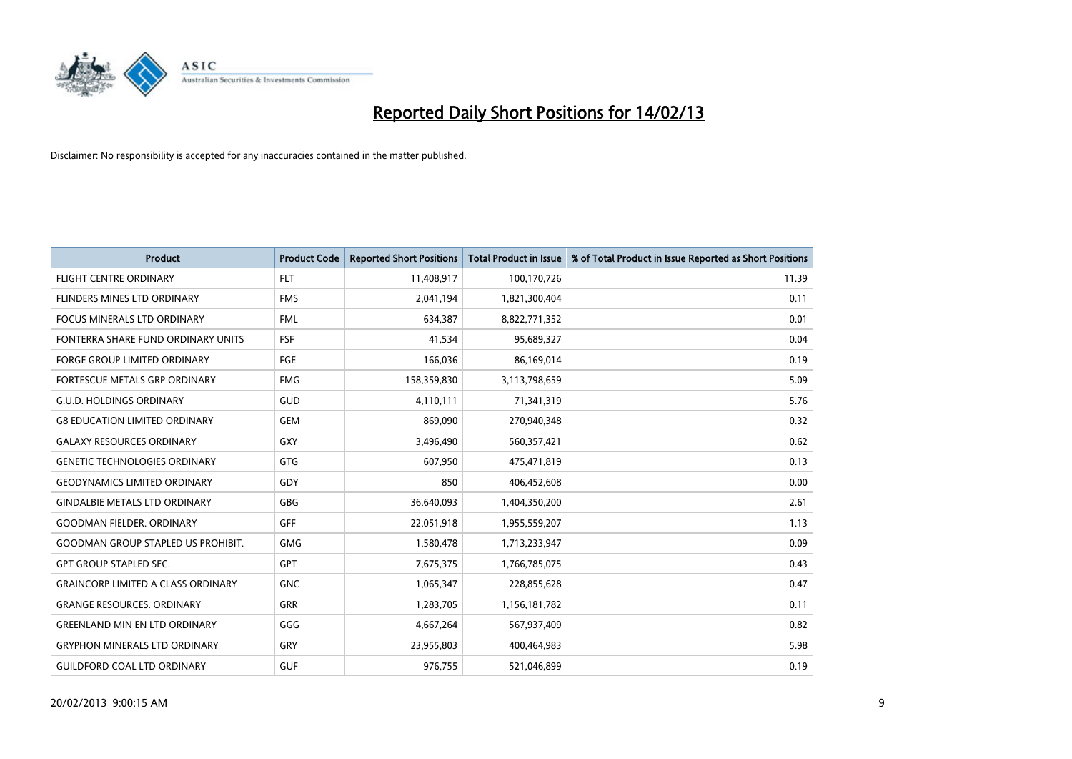

| <b>Product</b>                            | <b>Product Code</b> | <b>Reported Short Positions</b> | <b>Total Product in Issue</b> | % of Total Product in Issue Reported as Short Positions |
|-------------------------------------------|---------------------|---------------------------------|-------------------------------|---------------------------------------------------------|
| <b>FLIGHT CENTRE ORDINARY</b>             | <b>FLT</b>          | 11,408,917                      | 100,170,726                   | 11.39                                                   |
| FLINDERS MINES LTD ORDINARY               | <b>FMS</b>          | 2,041,194                       | 1,821,300,404                 | 0.11                                                    |
| <b>FOCUS MINERALS LTD ORDINARY</b>        | <b>FML</b>          | 634,387                         | 8,822,771,352                 | 0.01                                                    |
| FONTERRA SHARE FUND ORDINARY UNITS        | <b>FSF</b>          | 41,534                          | 95,689,327                    | 0.04                                                    |
| <b>FORGE GROUP LIMITED ORDINARY</b>       | FGE                 | 166,036                         | 86,169,014                    | 0.19                                                    |
| <b>FORTESCUE METALS GRP ORDINARY</b>      | <b>FMG</b>          | 158,359,830                     | 3,113,798,659                 | 5.09                                                    |
| <b>G.U.D. HOLDINGS ORDINARY</b>           | GUD                 | 4,110,111                       | 71,341,319                    | 5.76                                                    |
| <b>G8 EDUCATION LIMITED ORDINARY</b>      | <b>GEM</b>          | 869,090                         | 270,940,348                   | 0.32                                                    |
| <b>GALAXY RESOURCES ORDINARY</b>          | <b>GXY</b>          | 3,496,490                       | 560,357,421                   | 0.62                                                    |
| <b>GENETIC TECHNOLOGIES ORDINARY</b>      | GTG                 | 607,950                         | 475,471,819                   | 0.13                                                    |
| <b>GEODYNAMICS LIMITED ORDINARY</b>       | GDY                 | 850                             | 406,452,608                   | 0.00                                                    |
| <b>GINDALBIE METALS LTD ORDINARY</b>      | <b>GBG</b>          | 36,640,093                      | 1,404,350,200                 | 2.61                                                    |
| <b>GOODMAN FIELDER, ORDINARY</b>          | GFF                 | 22,051,918                      | 1,955,559,207                 | 1.13                                                    |
| <b>GOODMAN GROUP STAPLED US PROHIBIT.</b> | <b>GMG</b>          | 1,580,478                       | 1,713,233,947                 | 0.09                                                    |
| <b>GPT GROUP STAPLED SEC.</b>             | <b>GPT</b>          | 7,675,375                       | 1,766,785,075                 | 0.43                                                    |
| <b>GRAINCORP LIMITED A CLASS ORDINARY</b> | <b>GNC</b>          | 1,065,347                       | 228,855,628                   | 0.47                                                    |
| <b>GRANGE RESOURCES, ORDINARY</b>         | GRR                 | 1,283,705                       | 1,156,181,782                 | 0.11                                                    |
| <b>GREENLAND MIN EN LTD ORDINARY</b>      | GGG                 | 4,667,264                       | 567,937,409                   | 0.82                                                    |
| <b>GRYPHON MINERALS LTD ORDINARY</b>      | GRY                 | 23,955,803                      | 400,464,983                   | 5.98                                                    |
| <b>GUILDFORD COAL LTD ORDINARY</b>        | <b>GUF</b>          | 976,755                         | 521,046,899                   | 0.19                                                    |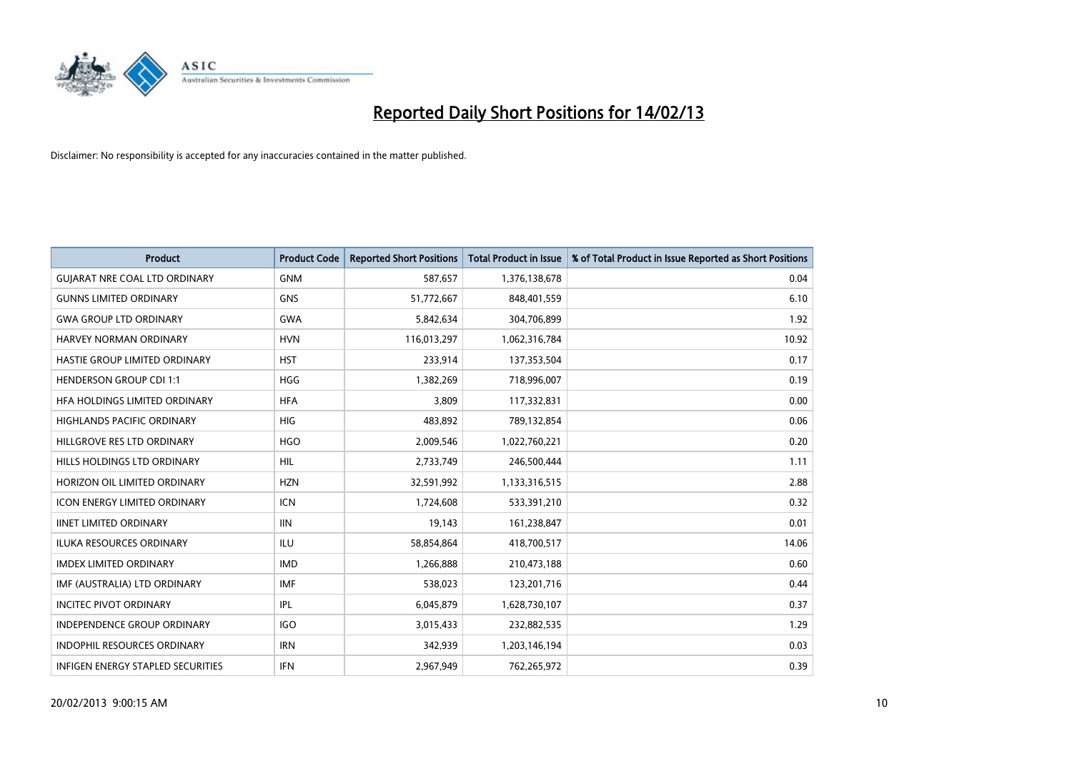

| <b>Product</b>                           | <b>Product Code</b> | <b>Reported Short Positions</b> | <b>Total Product in Issue</b> | % of Total Product in Issue Reported as Short Positions |
|------------------------------------------|---------------------|---------------------------------|-------------------------------|---------------------------------------------------------|
| <b>GUIARAT NRE COAL LTD ORDINARY</b>     | <b>GNM</b>          | 587,657                         | 1,376,138,678                 | 0.04                                                    |
| <b>GUNNS LIMITED ORDINARY</b>            | <b>GNS</b>          | 51,772,667                      | 848,401,559                   | 6.10                                                    |
| <b>GWA GROUP LTD ORDINARY</b>            | <b>GWA</b>          | 5,842,634                       | 304,706,899                   | 1.92                                                    |
| HARVEY NORMAN ORDINARY                   | <b>HVN</b>          | 116,013,297                     | 1,062,316,784                 | 10.92                                                   |
| HASTIE GROUP LIMITED ORDINARY            | <b>HST</b>          | 233,914                         | 137,353,504                   | 0.17                                                    |
| <b>HENDERSON GROUP CDI 1:1</b>           | <b>HGG</b>          | 1,382,269                       | 718,996,007                   | 0.19                                                    |
| HFA HOLDINGS LIMITED ORDINARY            | <b>HFA</b>          | 3,809                           | 117,332,831                   | 0.00                                                    |
| HIGHLANDS PACIFIC ORDINARY               | <b>HIG</b>          | 483,892                         | 789,132,854                   | 0.06                                                    |
| HILLGROVE RES LTD ORDINARY               | <b>HGO</b>          | 2,009,546                       | 1,022,760,221                 | 0.20                                                    |
| HILLS HOLDINGS LTD ORDINARY              | <b>HIL</b>          | 2,733,749                       | 246,500,444                   | 1.11                                                    |
| HORIZON OIL LIMITED ORDINARY             | <b>HZN</b>          | 32,591,992                      | 1,133,316,515                 | 2.88                                                    |
| <b>ICON ENERGY LIMITED ORDINARY</b>      | <b>ICN</b>          | 1,724,608                       | 533,391,210                   | 0.32                                                    |
| <b>IINET LIMITED ORDINARY</b>            | <b>IIN</b>          | 19,143                          | 161,238,847                   | 0.01                                                    |
| <b>ILUKA RESOURCES ORDINARY</b>          | ILU                 | 58,854,864                      | 418,700,517                   | 14.06                                                   |
| <b>IMDEX LIMITED ORDINARY</b>            | <b>IMD</b>          | 1,266,888                       | 210,473,188                   | 0.60                                                    |
| IMF (AUSTRALIA) LTD ORDINARY             | <b>IMF</b>          | 538,023                         | 123,201,716                   | 0.44                                                    |
| <b>INCITEC PIVOT ORDINARY</b>            | IPL                 | 6,045,879                       | 1,628,730,107                 | 0.37                                                    |
| <b>INDEPENDENCE GROUP ORDINARY</b>       | <b>IGO</b>          | 3,015,433                       | 232,882,535                   | 1.29                                                    |
| <b>INDOPHIL RESOURCES ORDINARY</b>       | <b>IRN</b>          | 342,939                         | 1,203,146,194                 | 0.03                                                    |
| <b>INFIGEN ENERGY STAPLED SECURITIES</b> | IFN                 | 2,967,949                       | 762,265,972                   | 0.39                                                    |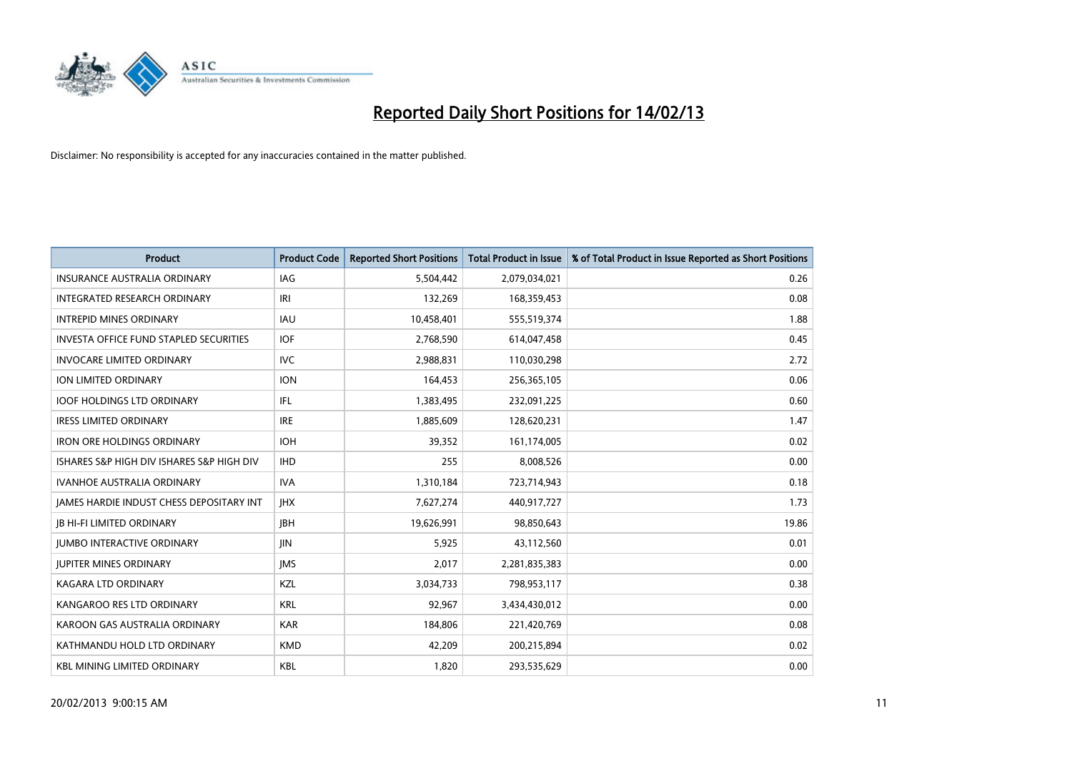

| <b>Product</b>                                  | <b>Product Code</b> | <b>Reported Short Positions</b> | <b>Total Product in Issue</b> | % of Total Product in Issue Reported as Short Positions |
|-------------------------------------------------|---------------------|---------------------------------|-------------------------------|---------------------------------------------------------|
| <b>INSURANCE AUSTRALIA ORDINARY</b>             | <b>IAG</b>          | 5,504,442                       | 2,079,034,021                 | 0.26                                                    |
| INTEGRATED RESEARCH ORDINARY                    | IRI                 | 132,269                         | 168,359,453                   | 0.08                                                    |
| <b>INTREPID MINES ORDINARY</b>                  | <b>IAU</b>          | 10,458,401                      | 555,519,374                   | 1.88                                                    |
| INVESTA OFFICE FUND STAPLED SECURITIES          | <b>IOF</b>          | 2,768,590                       | 614,047,458                   | 0.45                                                    |
| <b>INVOCARE LIMITED ORDINARY</b>                | <b>IVC</b>          | 2,988,831                       | 110,030,298                   | 2.72                                                    |
| <b>ION LIMITED ORDINARY</b>                     | <b>ION</b>          | 164,453                         | 256,365,105                   | 0.06                                                    |
| <b>IOOF HOLDINGS LTD ORDINARY</b>               | IFL                 | 1,383,495                       | 232,091,225                   | 0.60                                                    |
| <b>IRESS LIMITED ORDINARY</b>                   | <b>IRE</b>          | 1,885,609                       | 128,620,231                   | 1.47                                                    |
| <b>IRON ORE HOLDINGS ORDINARY</b>               | <b>IOH</b>          | 39,352                          | 161,174,005                   | 0.02                                                    |
| ISHARES S&P HIGH DIV ISHARES S&P HIGH DIV       | <b>IHD</b>          | 255                             | 8,008,526                     | 0.00                                                    |
| <b>IVANHOE AUSTRALIA ORDINARY</b>               | IVA.                | 1,310,184                       | 723,714,943                   | 0.18                                                    |
| <b>IAMES HARDIE INDUST CHESS DEPOSITARY INT</b> | <b>IHX</b>          | 7,627,274                       | 440,917,727                   | 1.73                                                    |
| <b>JB HI-FI LIMITED ORDINARY</b>                | <b>IBH</b>          | 19,626,991                      | 98,850,643                    | 19.86                                                   |
| <b>JUMBO INTERACTIVE ORDINARY</b>               | <b>JIN</b>          | 5,925                           | 43,112,560                    | 0.01                                                    |
| <b>JUPITER MINES ORDINARY</b>                   | <b>IMS</b>          | 2,017                           | 2,281,835,383                 | 0.00                                                    |
| KAGARA LTD ORDINARY                             | <b>KZL</b>          | 3,034,733                       | 798,953,117                   | 0.38                                                    |
| KANGAROO RES LTD ORDINARY                       | <b>KRL</b>          | 92,967                          | 3,434,430,012                 | 0.00                                                    |
| KAROON GAS AUSTRALIA ORDINARY                   | <b>KAR</b>          | 184,806                         | 221,420,769                   | 0.08                                                    |
| KATHMANDU HOLD LTD ORDINARY                     | <b>KMD</b>          | 42,209                          | 200,215,894                   | 0.02                                                    |
| <b>KBL MINING LIMITED ORDINARY</b>              | <b>KBL</b>          | 1,820                           | 293,535,629                   | 0.00                                                    |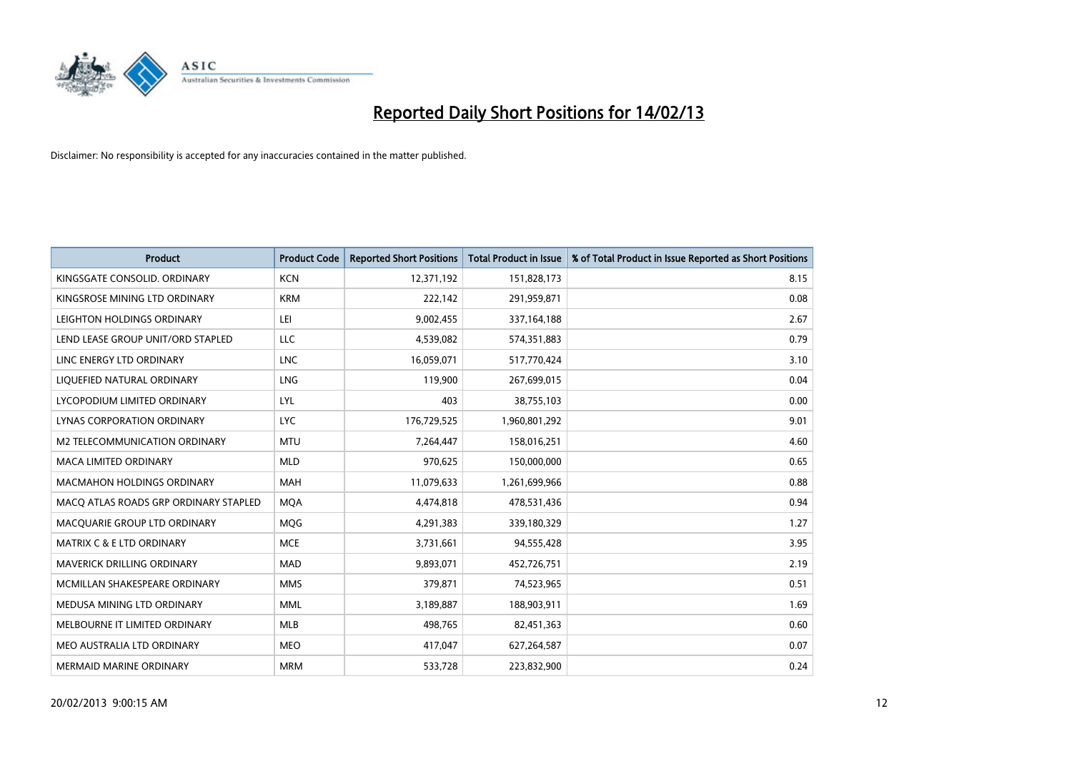

| <b>Product</b>                        | <b>Product Code</b> | <b>Reported Short Positions</b> | <b>Total Product in Issue</b> | % of Total Product in Issue Reported as Short Positions |
|---------------------------------------|---------------------|---------------------------------|-------------------------------|---------------------------------------------------------|
| KINGSGATE CONSOLID. ORDINARY          | <b>KCN</b>          | 12,371,192                      | 151,828,173                   | 8.15                                                    |
| KINGSROSE MINING LTD ORDINARY         | <b>KRM</b>          | 222,142                         | 291,959,871                   | 0.08                                                    |
| LEIGHTON HOLDINGS ORDINARY            | LEI                 | 9,002,455                       | 337, 164, 188                 | 2.67                                                    |
| LEND LEASE GROUP UNIT/ORD STAPLED     | LLC                 | 4,539,082                       | 574,351,883                   | 0.79                                                    |
| LINC ENERGY LTD ORDINARY              | <b>LNC</b>          | 16,059,071                      | 517,770,424                   | 3.10                                                    |
| LIQUEFIED NATURAL ORDINARY            | LNG                 | 119,900                         | 267,699,015                   | 0.04                                                    |
| LYCOPODIUM LIMITED ORDINARY           | <b>LYL</b>          | 403                             | 38,755,103                    | 0.00                                                    |
| LYNAS CORPORATION ORDINARY            | <b>LYC</b>          | 176,729,525                     | 1,960,801,292                 | 9.01                                                    |
| <b>M2 TELECOMMUNICATION ORDINARY</b>  | <b>MTU</b>          | 7,264,447                       | 158,016,251                   | 4.60                                                    |
| <b>MACA LIMITED ORDINARY</b>          | <b>MLD</b>          | 970,625                         | 150,000,000                   | 0.65                                                    |
| MACMAHON HOLDINGS ORDINARY            | <b>MAH</b>          | 11,079,633                      | 1,261,699,966                 | 0.88                                                    |
| MACQ ATLAS ROADS GRP ORDINARY STAPLED | <b>MQA</b>          | 4,474,818                       | 478,531,436                   | 0.94                                                    |
| MACQUARIE GROUP LTD ORDINARY          | <b>MOG</b>          | 4,291,383                       | 339,180,329                   | 1.27                                                    |
| <b>MATRIX C &amp; E LTD ORDINARY</b>  | <b>MCE</b>          | 3,731,661                       | 94,555,428                    | 3.95                                                    |
| MAVERICK DRILLING ORDINARY            | <b>MAD</b>          | 9,893,071                       | 452,726,751                   | 2.19                                                    |
| MCMILLAN SHAKESPEARE ORDINARY         | <b>MMS</b>          | 379,871                         | 74,523,965                    | 0.51                                                    |
| MEDUSA MINING LTD ORDINARY            | <b>MML</b>          | 3,189,887                       | 188,903,911                   | 1.69                                                    |
| MELBOURNE IT LIMITED ORDINARY         | <b>MLB</b>          | 498,765                         | 82,451,363                    | 0.60                                                    |
| MEO AUSTRALIA LTD ORDINARY            | <b>MEO</b>          | 417,047                         | 627,264,587                   | 0.07                                                    |
| MERMAID MARINE ORDINARY               | <b>MRM</b>          | 533,728                         | 223,832,900                   | 0.24                                                    |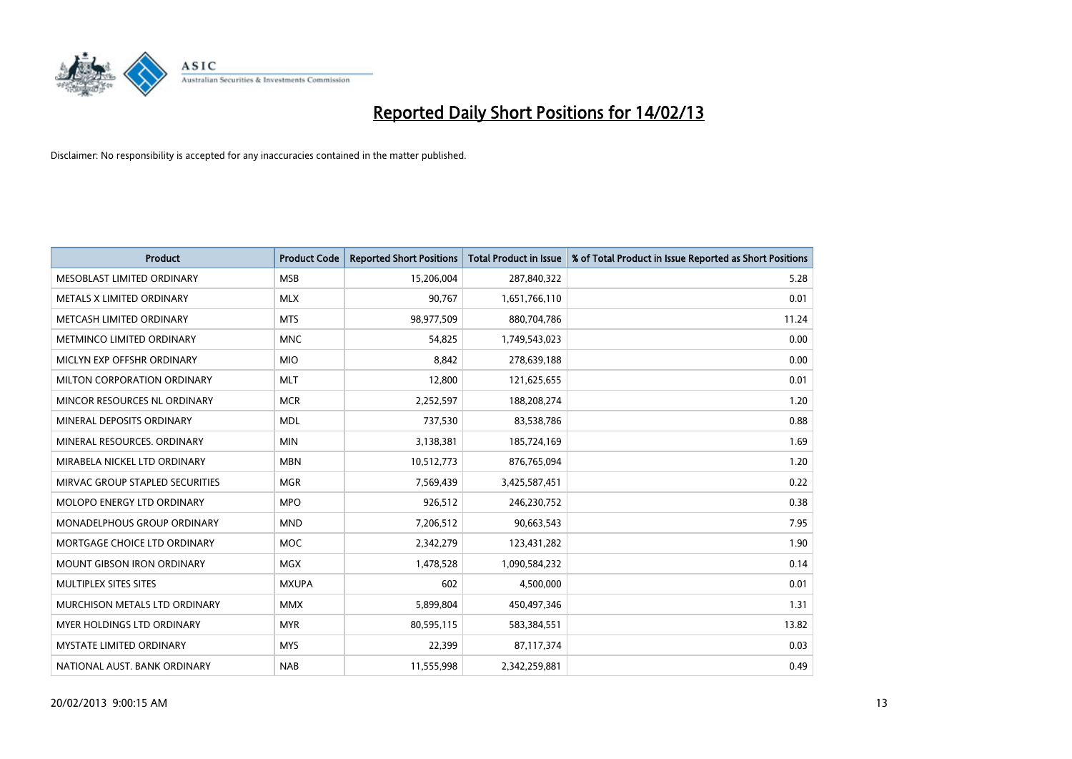

| <b>Product</b>                       | <b>Product Code</b> | <b>Reported Short Positions</b> | <b>Total Product in Issue</b> | % of Total Product in Issue Reported as Short Positions |
|--------------------------------------|---------------------|---------------------------------|-------------------------------|---------------------------------------------------------|
| MESOBLAST LIMITED ORDINARY           | <b>MSB</b>          | 15,206,004                      | 287,840,322                   | 5.28                                                    |
| METALS X LIMITED ORDINARY            | <b>MLX</b>          | 90,767                          | 1,651,766,110                 | 0.01                                                    |
| METCASH LIMITED ORDINARY             | <b>MTS</b>          | 98,977,509                      | 880,704,786                   | 11.24                                                   |
| METMINCO LIMITED ORDINARY            | <b>MNC</b>          | 54,825                          | 1,749,543,023                 | 0.00                                                    |
| MICLYN EXP OFFSHR ORDINARY           | <b>MIO</b>          | 8,842                           | 278,639,188                   | 0.00                                                    |
| MILTON CORPORATION ORDINARY          | <b>MLT</b>          | 12,800                          | 121,625,655                   | 0.01                                                    |
| MINCOR RESOURCES NL ORDINARY         | <b>MCR</b>          | 2,252,597                       | 188,208,274                   | 1.20                                                    |
| MINERAL DEPOSITS ORDINARY            | <b>MDL</b>          | 737,530                         | 83,538,786                    | 0.88                                                    |
| MINERAL RESOURCES, ORDINARY          | <b>MIN</b>          | 3,138,381                       | 185,724,169                   | 1.69                                                    |
| MIRABELA NICKEL LTD ORDINARY         | <b>MBN</b>          | 10,512,773                      | 876,765,094                   | 1.20                                                    |
| MIRVAC GROUP STAPLED SECURITIES      | <b>MGR</b>          | 7,569,439                       | 3,425,587,451                 | 0.22                                                    |
| MOLOPO ENERGY LTD ORDINARY           | <b>MPO</b>          | 926,512                         | 246,230,752                   | 0.38                                                    |
| MONADELPHOUS GROUP ORDINARY          | <b>MND</b>          | 7,206,512                       | 90,663,543                    | 7.95                                                    |
| MORTGAGE CHOICE LTD ORDINARY         | <b>MOC</b>          | 2,342,279                       | 123,431,282                   | 1.90                                                    |
| <b>MOUNT GIBSON IRON ORDINARY</b>    | <b>MGX</b>          | 1,478,528                       | 1,090,584,232                 | 0.14                                                    |
| MULTIPLEX SITES SITES                | <b>MXUPA</b>        | 602                             | 4,500,000                     | 0.01                                                    |
| <b>MURCHISON METALS LTD ORDINARY</b> | <b>MMX</b>          | 5,899,804                       | 450,497,346                   | 1.31                                                    |
| <b>MYER HOLDINGS LTD ORDINARY</b>    | <b>MYR</b>          | 80,595,115                      | 583,384,551                   | 13.82                                                   |
| <b>MYSTATE LIMITED ORDINARY</b>      | <b>MYS</b>          | 22,399                          | 87,117,374                    | 0.03                                                    |
| NATIONAL AUST. BANK ORDINARY         | <b>NAB</b>          | 11,555,998                      | 2,342,259,881                 | 0.49                                                    |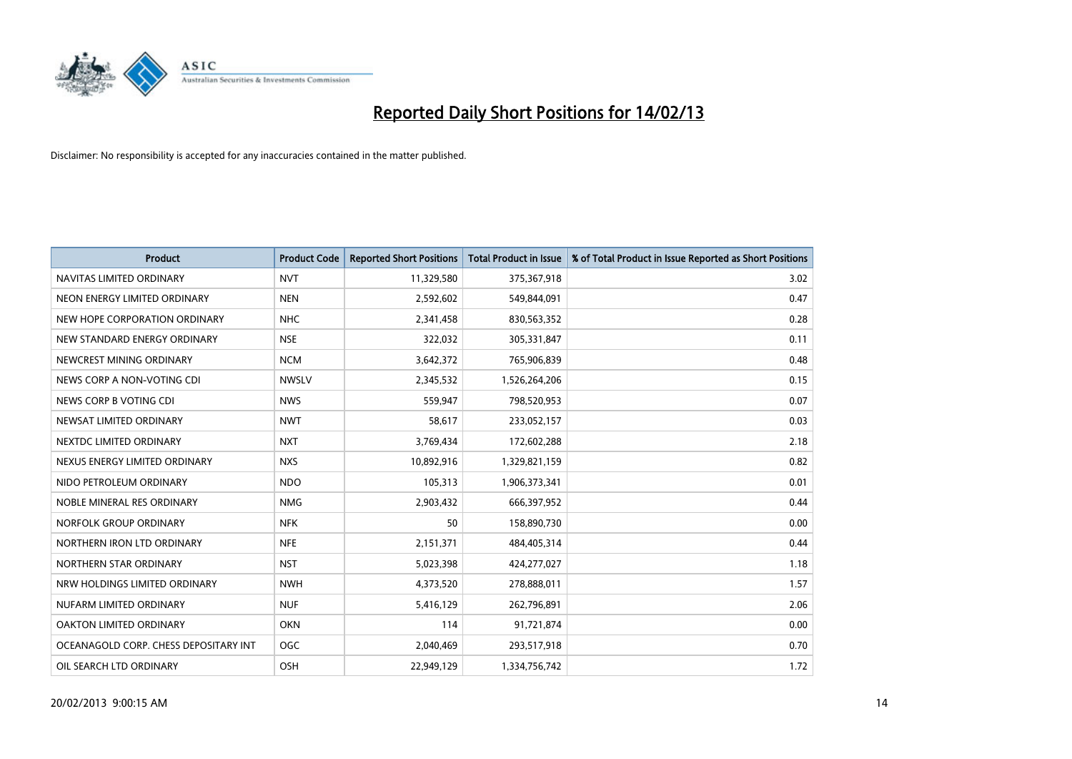

| <b>Product</b>                        | <b>Product Code</b> | <b>Reported Short Positions</b> | <b>Total Product in Issue</b> | % of Total Product in Issue Reported as Short Positions |
|---------------------------------------|---------------------|---------------------------------|-------------------------------|---------------------------------------------------------|
| NAVITAS LIMITED ORDINARY              | <b>NVT</b>          | 11,329,580                      | 375,367,918                   | 3.02                                                    |
| NEON ENERGY LIMITED ORDINARY          | <b>NEN</b>          | 2,592,602                       | 549,844,091                   | 0.47                                                    |
| NEW HOPE CORPORATION ORDINARY         | <b>NHC</b>          | 2,341,458                       | 830,563,352                   | 0.28                                                    |
| NEW STANDARD ENERGY ORDINARY          | <b>NSE</b>          | 322,032                         | 305,331,847                   | 0.11                                                    |
| NEWCREST MINING ORDINARY              | <b>NCM</b>          | 3,642,372                       | 765,906,839                   | 0.48                                                    |
| NEWS CORP A NON-VOTING CDI            | <b>NWSLV</b>        | 2,345,532                       | 1,526,264,206                 | 0.15                                                    |
| NEWS CORP B VOTING CDI                | <b>NWS</b>          | 559,947                         | 798,520,953                   | 0.07                                                    |
| NEWSAT LIMITED ORDINARY               | <b>NWT</b>          | 58,617                          | 233,052,157                   | 0.03                                                    |
| NEXTDC LIMITED ORDINARY               | <b>NXT</b>          | 3,769,434                       | 172,602,288                   | 2.18                                                    |
| NEXUS ENERGY LIMITED ORDINARY         | <b>NXS</b>          | 10,892,916                      | 1,329,821,159                 | 0.82                                                    |
| NIDO PETROLEUM ORDINARY               | <b>NDO</b>          | 105,313                         | 1,906,373,341                 | 0.01                                                    |
| NOBLE MINERAL RES ORDINARY            | <b>NMG</b>          | 2,903,432                       | 666,397,952                   | 0.44                                                    |
| NORFOLK GROUP ORDINARY                | <b>NFK</b>          | 50                              | 158,890,730                   | 0.00                                                    |
| NORTHERN IRON LTD ORDINARY            | <b>NFE</b>          | 2,151,371                       | 484,405,314                   | 0.44                                                    |
| NORTHERN STAR ORDINARY                | <b>NST</b>          | 5,023,398                       | 424,277,027                   | 1.18                                                    |
| NRW HOLDINGS LIMITED ORDINARY         | <b>NWH</b>          | 4,373,520                       | 278,888,011                   | 1.57                                                    |
| NUFARM LIMITED ORDINARY               | <b>NUF</b>          | 5,416,129                       | 262,796,891                   | 2.06                                                    |
| OAKTON LIMITED ORDINARY               | <b>OKN</b>          | 114                             | 91,721,874                    | 0.00                                                    |
| OCEANAGOLD CORP. CHESS DEPOSITARY INT | <b>OGC</b>          | 2,040,469                       | 293,517,918                   | 0.70                                                    |
| OIL SEARCH LTD ORDINARY               | <b>OSH</b>          | 22,949,129                      | 1,334,756,742                 | 1.72                                                    |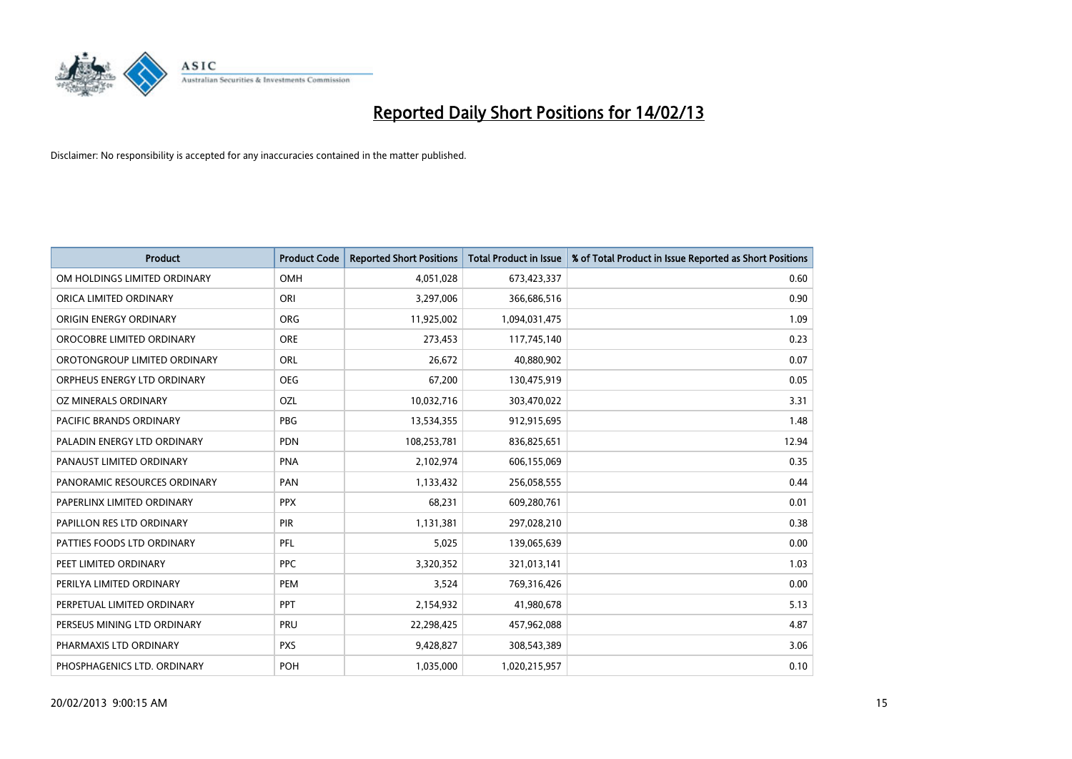

| <b>Product</b>               | <b>Product Code</b> | <b>Reported Short Positions</b> | <b>Total Product in Issue</b> | % of Total Product in Issue Reported as Short Positions |
|------------------------------|---------------------|---------------------------------|-------------------------------|---------------------------------------------------------|
| OM HOLDINGS LIMITED ORDINARY | <b>OMH</b>          | 4,051,028                       | 673,423,337                   | 0.60                                                    |
| ORICA LIMITED ORDINARY       | ORI                 | 3,297,006                       | 366,686,516                   | 0.90                                                    |
| ORIGIN ENERGY ORDINARY       | <b>ORG</b>          | 11,925,002                      | 1,094,031,475                 | 1.09                                                    |
| OROCOBRE LIMITED ORDINARY    | <b>ORE</b>          | 273,453                         | 117,745,140                   | 0.23                                                    |
| OROTONGROUP LIMITED ORDINARY | ORL                 | 26,672                          | 40,880,902                    | 0.07                                                    |
| ORPHEUS ENERGY LTD ORDINARY  | <b>OEG</b>          | 67,200                          | 130,475,919                   | 0.05                                                    |
| OZ MINERALS ORDINARY         | OZL                 | 10,032,716                      | 303,470,022                   | 3.31                                                    |
| PACIFIC BRANDS ORDINARY      | <b>PBG</b>          | 13,534,355                      | 912,915,695                   | 1.48                                                    |
| PALADIN ENERGY LTD ORDINARY  | <b>PDN</b>          | 108,253,781                     | 836,825,651                   | 12.94                                                   |
| PANAUST LIMITED ORDINARY     | PNA                 | 2,102,974                       | 606,155,069                   | 0.35                                                    |
| PANORAMIC RESOURCES ORDINARY | PAN                 | 1,133,432                       | 256,058,555                   | 0.44                                                    |
| PAPERLINX LIMITED ORDINARY   | <b>PPX</b>          | 68,231                          | 609,280,761                   | 0.01                                                    |
| PAPILLON RES LTD ORDINARY    | PIR                 | 1,131,381                       | 297,028,210                   | 0.38                                                    |
| PATTIES FOODS LTD ORDINARY   | PFL                 | 5,025                           | 139,065,639                   | 0.00                                                    |
| PEET LIMITED ORDINARY        | <b>PPC</b>          | 3,320,352                       | 321,013,141                   | 1.03                                                    |
| PERILYA LIMITED ORDINARY     | PEM                 | 3,524                           | 769,316,426                   | 0.00                                                    |
| PERPETUAL LIMITED ORDINARY   | PPT                 | 2,154,932                       | 41,980,678                    | 5.13                                                    |
| PERSEUS MINING LTD ORDINARY  | PRU                 | 22,298,425                      | 457,962,088                   | 4.87                                                    |
| PHARMAXIS LTD ORDINARY       | <b>PXS</b>          | 9,428,827                       | 308,543,389                   | 3.06                                                    |
| PHOSPHAGENICS LTD. ORDINARY  | <b>POH</b>          | 1,035,000                       | 1,020,215,957                 | 0.10                                                    |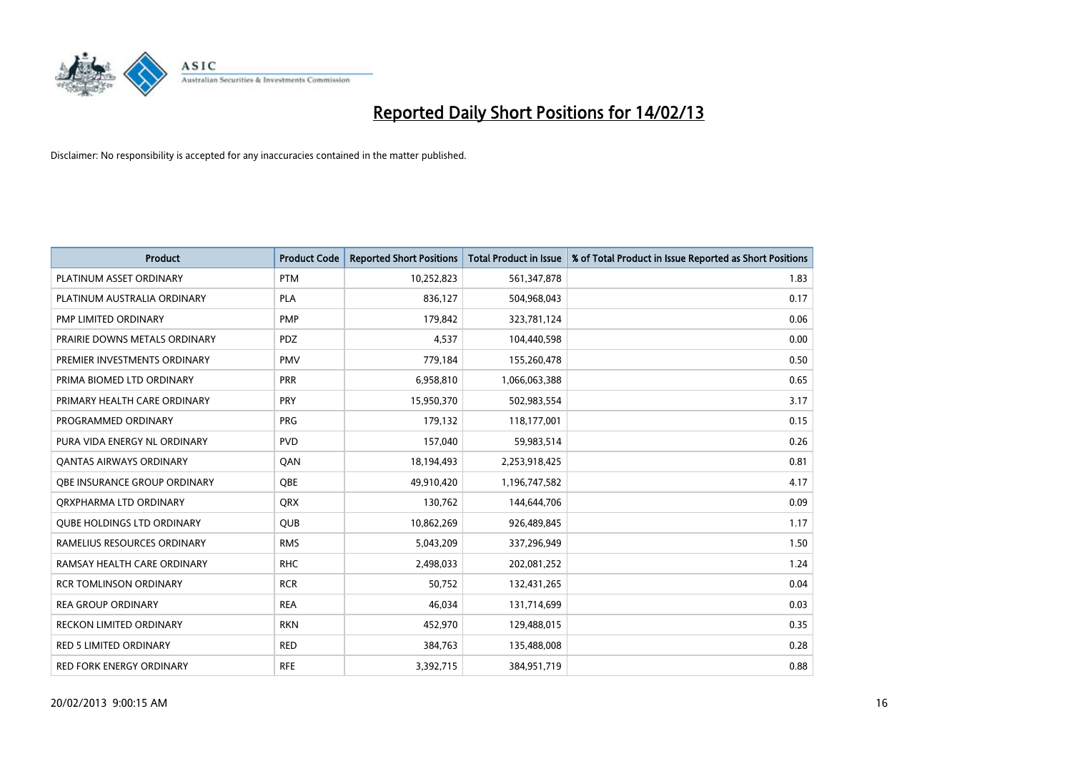

| <b>Product</b>                    | <b>Product Code</b> | <b>Reported Short Positions</b> | <b>Total Product in Issue</b> | % of Total Product in Issue Reported as Short Positions |
|-----------------------------------|---------------------|---------------------------------|-------------------------------|---------------------------------------------------------|
| PLATINUM ASSET ORDINARY           | <b>PTM</b>          | 10,252,823                      | 561,347,878                   | 1.83                                                    |
| PLATINUM AUSTRALIA ORDINARY       | <b>PLA</b>          | 836,127                         | 504,968,043                   | 0.17                                                    |
| PMP LIMITED ORDINARY              | <b>PMP</b>          | 179,842                         | 323,781,124                   | 0.06                                                    |
| PRAIRIE DOWNS METALS ORDINARY     | <b>PDZ</b>          | 4,537                           | 104,440,598                   | 0.00                                                    |
| PREMIER INVESTMENTS ORDINARY      | <b>PMV</b>          | 779,184                         | 155,260,478                   | 0.50                                                    |
| PRIMA BIOMED LTD ORDINARY         | <b>PRR</b>          | 6,958,810                       | 1,066,063,388                 | 0.65                                                    |
| PRIMARY HEALTH CARE ORDINARY      | <b>PRY</b>          | 15,950,370                      | 502,983,554                   | 3.17                                                    |
| PROGRAMMED ORDINARY               | <b>PRG</b>          | 179,132                         | 118,177,001                   | 0.15                                                    |
| PURA VIDA ENERGY NL ORDINARY      | <b>PVD</b>          | 157,040                         | 59,983,514                    | 0.26                                                    |
| OANTAS AIRWAYS ORDINARY           | QAN                 | 18,194,493                      | 2,253,918,425                 | 0.81                                                    |
| OBE INSURANCE GROUP ORDINARY      | <b>OBE</b>          | 49,910,420                      | 1,196,747,582                 | 4.17                                                    |
| ORXPHARMA LTD ORDINARY            | <b>QRX</b>          | 130,762                         | 144,644,706                   | 0.09                                                    |
| <b>QUBE HOLDINGS LTD ORDINARY</b> | QUB                 | 10,862,269                      | 926,489,845                   | 1.17                                                    |
| RAMELIUS RESOURCES ORDINARY       | <b>RMS</b>          | 5,043,209                       | 337,296,949                   | 1.50                                                    |
| RAMSAY HEALTH CARE ORDINARY       | <b>RHC</b>          | 2,498,033                       | 202,081,252                   | 1.24                                                    |
| <b>RCR TOMLINSON ORDINARY</b>     | <b>RCR</b>          | 50,752                          | 132,431,265                   | 0.04                                                    |
| <b>REA GROUP ORDINARY</b>         | <b>REA</b>          | 46,034                          | 131,714,699                   | 0.03                                                    |
| <b>RECKON LIMITED ORDINARY</b>    | <b>RKN</b>          | 452,970                         | 129,488,015                   | 0.35                                                    |
| <b>RED 5 LIMITED ORDINARY</b>     | <b>RED</b>          | 384,763                         | 135,488,008                   | 0.28                                                    |
| <b>RED FORK ENERGY ORDINARY</b>   | <b>RFE</b>          | 3,392,715                       | 384,951,719                   | 0.88                                                    |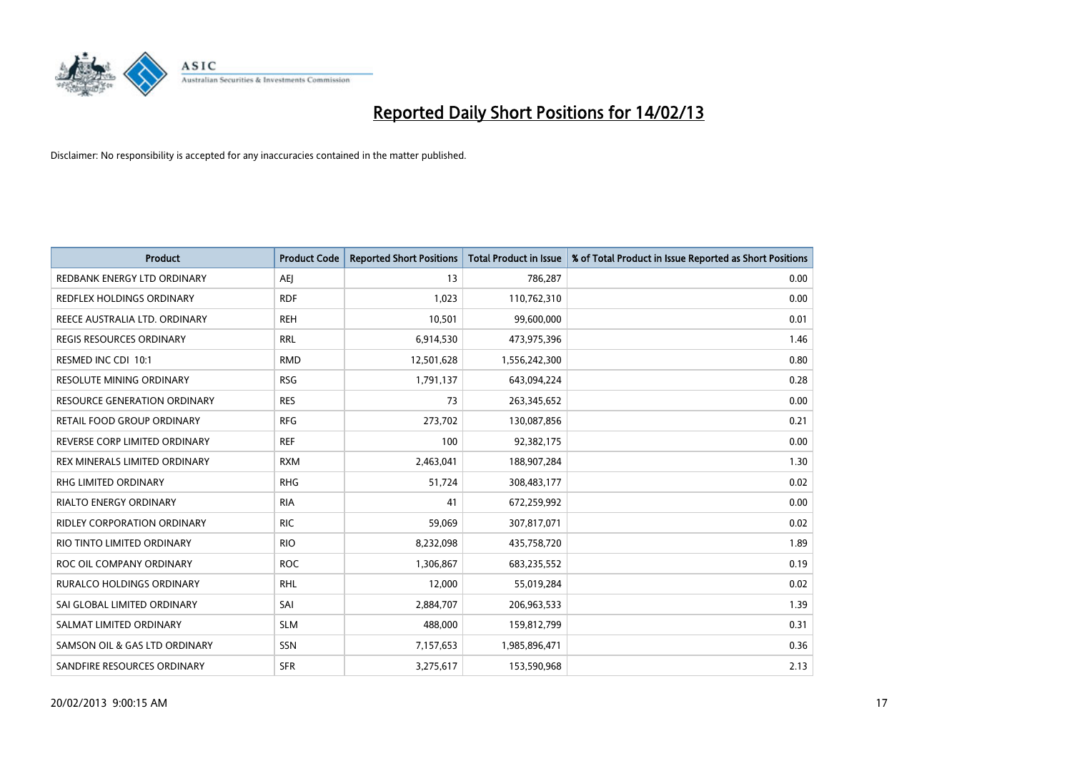

| <b>Product</b>                      | <b>Product Code</b> | <b>Reported Short Positions</b> | <b>Total Product in Issue</b> | % of Total Product in Issue Reported as Short Positions |
|-------------------------------------|---------------------|---------------------------------|-------------------------------|---------------------------------------------------------|
| REDBANK ENERGY LTD ORDINARY         | AEJ                 | 13                              | 786,287                       | 0.00                                                    |
| REDFLEX HOLDINGS ORDINARY           | <b>RDF</b>          | 1,023                           | 110,762,310                   | 0.00                                                    |
| REECE AUSTRALIA LTD. ORDINARY       | <b>REH</b>          | 10,501                          | 99,600,000                    | 0.01                                                    |
| REGIS RESOURCES ORDINARY            | <b>RRL</b>          | 6,914,530                       | 473,975,396                   | 1.46                                                    |
| RESMED INC CDI 10:1                 | <b>RMD</b>          | 12,501,628                      | 1,556,242,300                 | 0.80                                                    |
| <b>RESOLUTE MINING ORDINARY</b>     | <b>RSG</b>          | 1,791,137                       | 643,094,224                   | 0.28                                                    |
| <b>RESOURCE GENERATION ORDINARY</b> | <b>RES</b>          | 73                              | 263,345,652                   | 0.00                                                    |
| RETAIL FOOD GROUP ORDINARY          | <b>RFG</b>          | 273,702                         | 130,087,856                   | 0.21                                                    |
| REVERSE CORP LIMITED ORDINARY       | <b>REF</b>          | 100                             | 92,382,175                    | 0.00                                                    |
| REX MINERALS LIMITED ORDINARY       | <b>RXM</b>          | 2,463,041                       | 188,907,284                   | 1.30                                                    |
| <b>RHG LIMITED ORDINARY</b>         | <b>RHG</b>          | 51,724                          | 308,483,177                   | 0.02                                                    |
| RIALTO ENERGY ORDINARY              | <b>RIA</b>          | 41                              | 672,259,992                   | 0.00                                                    |
| RIDLEY CORPORATION ORDINARY         | <b>RIC</b>          | 59,069                          | 307,817,071                   | 0.02                                                    |
| RIO TINTO LIMITED ORDINARY          | <b>RIO</b>          | 8,232,098                       | 435,758,720                   | 1.89                                                    |
| ROC OIL COMPANY ORDINARY            | <b>ROC</b>          | 1,306,867                       | 683,235,552                   | 0.19                                                    |
| <b>RURALCO HOLDINGS ORDINARY</b>    | <b>RHL</b>          | 12,000                          | 55,019,284                    | 0.02                                                    |
| SAI GLOBAL LIMITED ORDINARY         | SAI                 | 2,884,707                       | 206,963,533                   | 1.39                                                    |
| SALMAT LIMITED ORDINARY             | <b>SLM</b>          | 488,000                         | 159,812,799                   | 0.31                                                    |
| SAMSON OIL & GAS LTD ORDINARY       | SSN                 | 7,157,653                       | 1,985,896,471                 | 0.36                                                    |
| SANDFIRE RESOURCES ORDINARY         | <b>SFR</b>          | 3,275,617                       | 153,590,968                   | 2.13                                                    |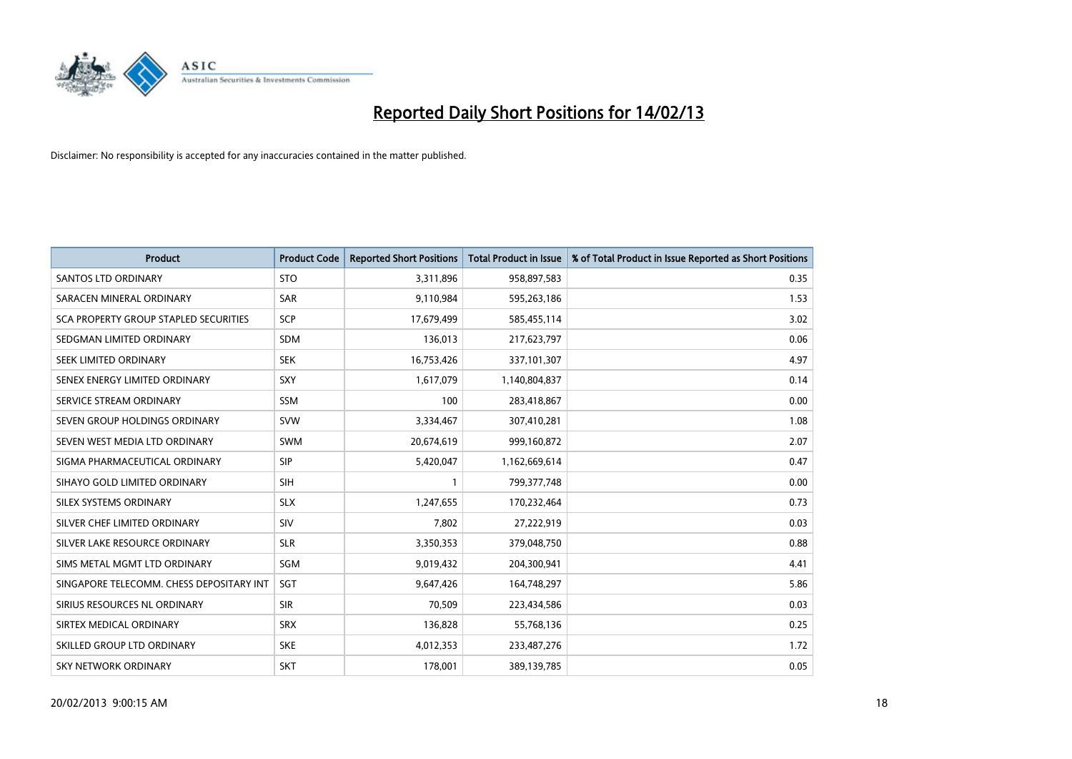

| <b>Product</b>                               | <b>Product Code</b> | <b>Reported Short Positions</b> | <b>Total Product in Issue</b> | % of Total Product in Issue Reported as Short Positions |
|----------------------------------------------|---------------------|---------------------------------|-------------------------------|---------------------------------------------------------|
| <b>SANTOS LTD ORDINARY</b>                   | <b>STO</b>          | 3,311,896                       | 958,897,583                   | 0.35                                                    |
| SARACEN MINERAL ORDINARY                     | <b>SAR</b>          | 9,110,984                       | 595,263,186                   | 1.53                                                    |
| <b>SCA PROPERTY GROUP STAPLED SECURITIES</b> | SCP                 | 17,679,499                      | 585,455,114                   | 3.02                                                    |
| SEDGMAN LIMITED ORDINARY                     | <b>SDM</b>          | 136,013                         | 217,623,797                   | 0.06                                                    |
| <b>SEEK LIMITED ORDINARY</b>                 | <b>SEK</b>          | 16,753,426                      | 337,101,307                   | 4.97                                                    |
| SENEX ENERGY LIMITED ORDINARY                | SXY                 | 1,617,079                       | 1,140,804,837                 | 0.14                                                    |
| SERVICE STREAM ORDINARY                      | <b>SSM</b>          | 100                             | 283,418,867                   | 0.00                                                    |
| SEVEN GROUP HOLDINGS ORDINARY                | <b>SVW</b>          | 3,334,467                       | 307,410,281                   | 1.08                                                    |
| SEVEN WEST MEDIA LTD ORDINARY                | <b>SWM</b>          | 20,674,619                      | 999,160,872                   | 2.07                                                    |
| SIGMA PHARMACEUTICAL ORDINARY                | <b>SIP</b>          | 5,420,047                       | 1,162,669,614                 | 0.47                                                    |
| SIHAYO GOLD LIMITED ORDINARY                 | <b>SIH</b>          |                                 | 799, 377, 748                 | 0.00                                                    |
| <b>SILEX SYSTEMS ORDINARY</b>                | <b>SLX</b>          | 1,247,655                       | 170,232,464                   | 0.73                                                    |
| SILVER CHEF LIMITED ORDINARY                 | SIV                 | 7,802                           | 27,222,919                    | 0.03                                                    |
| SILVER LAKE RESOURCE ORDINARY                | <b>SLR</b>          | 3,350,353                       | 379,048,750                   | 0.88                                                    |
| SIMS METAL MGMT LTD ORDINARY                 | SGM                 | 9,019,432                       | 204,300,941                   | 4.41                                                    |
| SINGAPORE TELECOMM. CHESS DEPOSITARY INT     | <b>SGT</b>          | 9,647,426                       | 164,748,297                   | 5.86                                                    |
| SIRIUS RESOURCES NL ORDINARY                 | <b>SIR</b>          | 70,509                          | 223,434,586                   | 0.03                                                    |
| SIRTEX MEDICAL ORDINARY                      | <b>SRX</b>          | 136,828                         | 55,768,136                    | 0.25                                                    |
| SKILLED GROUP LTD ORDINARY                   | <b>SKE</b>          | 4,012,353                       | 233,487,276                   | 1.72                                                    |
| SKY NETWORK ORDINARY                         | <b>SKT</b>          | 178,001                         | 389,139,785                   | 0.05                                                    |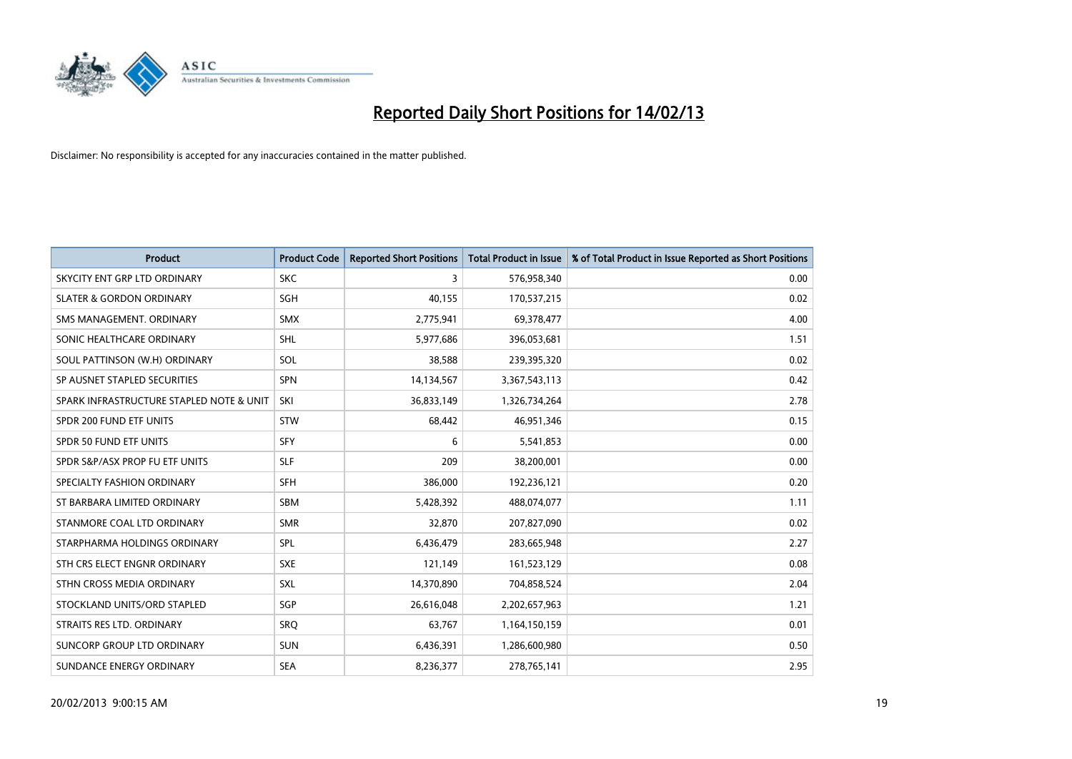

| <b>Product</b>                           | <b>Product Code</b> | <b>Reported Short Positions</b> | <b>Total Product in Issue</b> | % of Total Product in Issue Reported as Short Positions |
|------------------------------------------|---------------------|---------------------------------|-------------------------------|---------------------------------------------------------|
| SKYCITY ENT GRP LTD ORDINARY             | <b>SKC</b>          | 3                               | 576,958,340                   | 0.00                                                    |
| <b>SLATER &amp; GORDON ORDINARY</b>      | <b>SGH</b>          | 40,155                          | 170,537,215                   | 0.02                                                    |
| SMS MANAGEMENT. ORDINARY                 | <b>SMX</b>          | 2,775,941                       | 69,378,477                    | 4.00                                                    |
| SONIC HEALTHCARE ORDINARY                | <b>SHL</b>          | 5,977,686                       | 396,053,681                   | 1.51                                                    |
| SOUL PATTINSON (W.H) ORDINARY            | SOL                 | 38,588                          | 239,395,320                   | 0.02                                                    |
| SP AUSNET STAPLED SECURITIES             | <b>SPN</b>          | 14,134,567                      | 3,367,543,113                 | 0.42                                                    |
| SPARK INFRASTRUCTURE STAPLED NOTE & UNIT | SKI                 | 36,833,149                      | 1,326,734,264                 | 2.78                                                    |
| SPDR 200 FUND ETF UNITS                  | <b>STW</b>          | 68,442                          | 46,951,346                    | 0.15                                                    |
| SPDR 50 FUND ETF UNITS                   | <b>SFY</b>          | 6                               | 5,541,853                     | 0.00                                                    |
| SPDR S&P/ASX PROP FU ETF UNITS           | <b>SLF</b>          | 209                             | 38,200,001                    | 0.00                                                    |
| SPECIALTY FASHION ORDINARY               | <b>SFH</b>          | 386,000                         | 192,236,121                   | 0.20                                                    |
| ST BARBARA LIMITED ORDINARY              | <b>SBM</b>          | 5,428,392                       | 488,074,077                   | 1.11                                                    |
| STANMORE COAL LTD ORDINARY               | <b>SMR</b>          | 32,870                          | 207,827,090                   | 0.02                                                    |
| STARPHARMA HOLDINGS ORDINARY             | <b>SPL</b>          | 6,436,479                       | 283,665,948                   | 2.27                                                    |
| STH CRS ELECT ENGNR ORDINARY             | <b>SXE</b>          | 121,149                         | 161,523,129                   | 0.08                                                    |
| STHN CROSS MEDIA ORDINARY                | <b>SXL</b>          | 14,370,890                      | 704,858,524                   | 2.04                                                    |
| STOCKLAND UNITS/ORD STAPLED              | SGP                 | 26,616,048                      | 2,202,657,963                 | 1.21                                                    |
| STRAITS RES LTD. ORDINARY                | SRO                 | 63,767                          | 1,164,150,159                 | 0.01                                                    |
| SUNCORP GROUP LTD ORDINARY               | <b>SUN</b>          | 6,436,391                       | 1,286,600,980                 | 0.50                                                    |
| SUNDANCE ENERGY ORDINARY                 | <b>SEA</b>          | 8,236,377                       | 278,765,141                   | 2.95                                                    |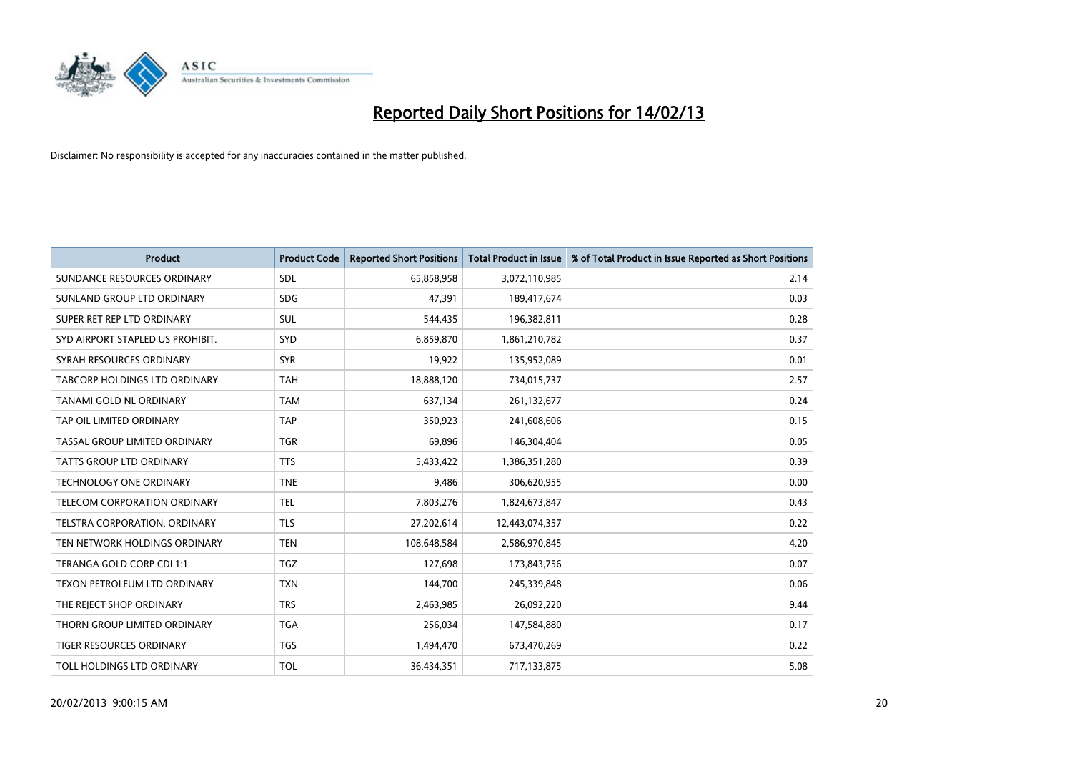

| <b>Product</b>                       | <b>Product Code</b> | <b>Reported Short Positions</b> | <b>Total Product in Issue</b> | % of Total Product in Issue Reported as Short Positions |
|--------------------------------------|---------------------|---------------------------------|-------------------------------|---------------------------------------------------------|
| SUNDANCE RESOURCES ORDINARY          | <b>SDL</b>          | 65,858,958                      | 3,072,110,985                 | 2.14                                                    |
| SUNLAND GROUP LTD ORDINARY           | <b>SDG</b>          | 47,391                          | 189,417,674                   | 0.03                                                    |
| SUPER RET REP LTD ORDINARY           | <b>SUL</b>          | 544,435                         | 196,382,811                   | 0.28                                                    |
| SYD AIRPORT STAPLED US PROHIBIT.     | SYD                 | 6,859,870                       | 1,861,210,782                 | 0.37                                                    |
| SYRAH RESOURCES ORDINARY             | <b>SYR</b>          | 19,922                          | 135,952,089                   | 0.01                                                    |
| TABCORP HOLDINGS LTD ORDINARY        | <b>TAH</b>          | 18,888,120                      | 734,015,737                   | 2.57                                                    |
| TANAMI GOLD NL ORDINARY              | <b>TAM</b>          | 637,134                         | 261,132,677                   | 0.24                                                    |
| TAP OIL LIMITED ORDINARY             | <b>TAP</b>          | 350,923                         | 241,608,606                   | 0.15                                                    |
| TASSAL GROUP LIMITED ORDINARY        | <b>TGR</b>          | 69,896                          | 146,304,404                   | 0.05                                                    |
| <b>TATTS GROUP LTD ORDINARY</b>      | <b>TTS</b>          | 5,433,422                       | 1,386,351,280                 | 0.39                                                    |
| <b>TECHNOLOGY ONE ORDINARY</b>       | <b>TNE</b>          | 9,486                           | 306,620,955                   | 0.00                                                    |
| TELECOM CORPORATION ORDINARY         | <b>TEL</b>          | 7,803,276                       | 1,824,673,847                 | 0.43                                                    |
| <b>TELSTRA CORPORATION, ORDINARY</b> | <b>TLS</b>          | 27,202,614                      | 12,443,074,357                | 0.22                                                    |
| TEN NETWORK HOLDINGS ORDINARY        | <b>TEN</b>          | 108,648,584                     | 2,586,970,845                 | 4.20                                                    |
| TERANGA GOLD CORP CDI 1:1            | <b>TGZ</b>          | 127,698                         | 173,843,756                   | 0.07                                                    |
| TEXON PETROLEUM LTD ORDINARY         | <b>TXN</b>          | 144,700                         | 245,339,848                   | 0.06                                                    |
| THE REJECT SHOP ORDINARY             | <b>TRS</b>          | 2,463,985                       | 26,092,220                    | 9.44                                                    |
| THORN GROUP LIMITED ORDINARY         | <b>TGA</b>          | 256,034                         | 147,584,880                   | 0.17                                                    |
| TIGER RESOURCES ORDINARY             | <b>TGS</b>          | 1,494,470                       | 673,470,269                   | 0.22                                                    |
| TOLL HOLDINGS LTD ORDINARY           | <b>TOL</b>          | 36,434,351                      | 717,133,875                   | 5.08                                                    |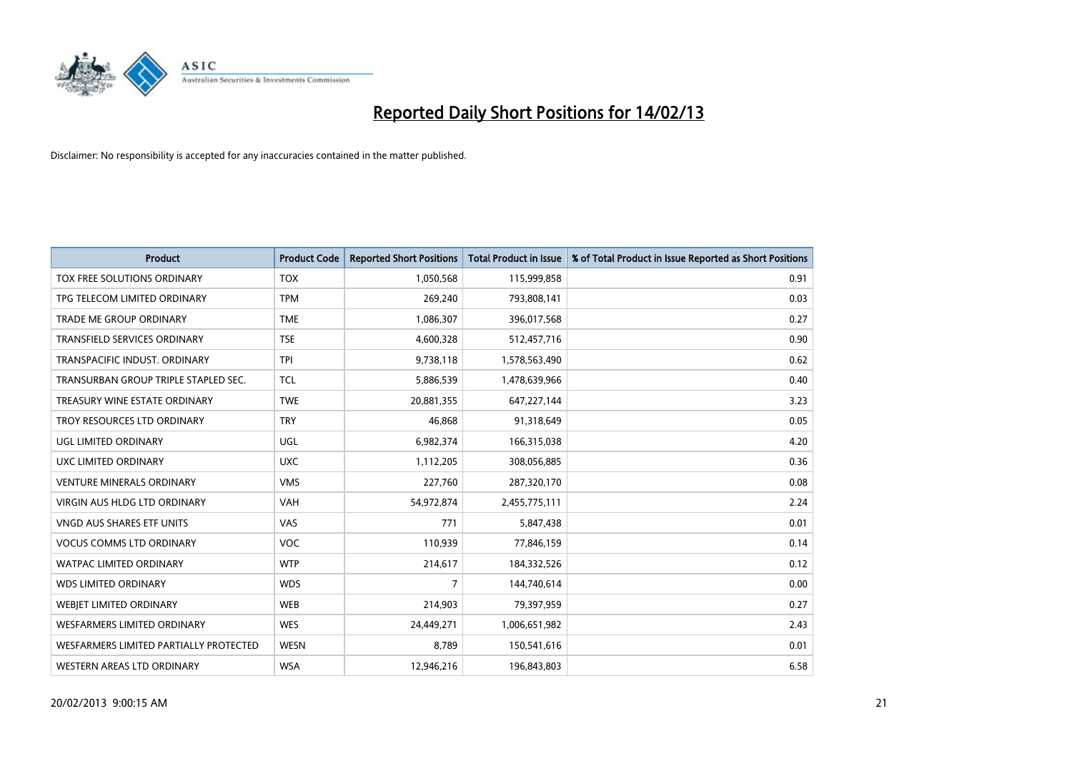

| <b>Product</b>                         | <b>Product Code</b> | <b>Reported Short Positions</b> | <b>Total Product in Issue</b> | % of Total Product in Issue Reported as Short Positions |
|----------------------------------------|---------------------|---------------------------------|-------------------------------|---------------------------------------------------------|
| TOX FREE SOLUTIONS ORDINARY            | <b>TOX</b>          | 1,050,568                       | 115,999,858                   | 0.91                                                    |
| TPG TELECOM LIMITED ORDINARY           | <b>TPM</b>          | 269,240                         | 793,808,141                   | 0.03                                                    |
| TRADE ME GROUP ORDINARY                | <b>TME</b>          | 1,086,307                       | 396,017,568                   | 0.27                                                    |
| TRANSFIELD SERVICES ORDINARY           | <b>TSE</b>          | 4,600,328                       | 512,457,716                   | 0.90                                                    |
| TRANSPACIFIC INDUST, ORDINARY          | <b>TPI</b>          | 9,738,118                       | 1,578,563,490                 | 0.62                                                    |
| TRANSURBAN GROUP TRIPLE STAPLED SEC.   | <b>TCL</b>          | 5,886,539                       | 1,478,639,966                 | 0.40                                                    |
| TREASURY WINE ESTATE ORDINARY          | <b>TWE</b>          | 20,881,355                      | 647,227,144                   | 3.23                                                    |
| TROY RESOURCES LTD ORDINARY            | <b>TRY</b>          | 46,868                          | 91,318,649                    | 0.05                                                    |
| <b>UGL LIMITED ORDINARY</b>            | UGL                 | 6,982,374                       | 166,315,038                   | 4.20                                                    |
| UXC LIMITED ORDINARY                   | <b>UXC</b>          | 1,112,205                       | 308,056,885                   | 0.36                                                    |
| <b>VENTURE MINERALS ORDINARY</b>       | <b>VMS</b>          | 227,760                         | 287,320,170                   | 0.08                                                    |
| <b>VIRGIN AUS HLDG LTD ORDINARY</b>    | <b>VAH</b>          | 54,972,874                      | 2,455,775,111                 | 2.24                                                    |
| VNGD AUS SHARES ETF UNITS              | VAS                 | 771                             | 5,847,438                     | 0.01                                                    |
| <b>VOCUS COMMS LTD ORDINARY</b>        | <b>VOC</b>          | 110,939                         | 77,846,159                    | 0.14                                                    |
| <b>WATPAC LIMITED ORDINARY</b>         | <b>WTP</b>          | 214,617                         | 184,332,526                   | 0.12                                                    |
| <b>WDS LIMITED ORDINARY</b>            | <b>WDS</b>          | 7                               | 144,740,614                   | 0.00                                                    |
| WEBJET LIMITED ORDINARY                | <b>WEB</b>          | 214,903                         | 79,397,959                    | 0.27                                                    |
| WESFARMERS LIMITED ORDINARY            | <b>WES</b>          | 24,449,271                      | 1,006,651,982                 | 2.43                                                    |
| WESFARMERS LIMITED PARTIALLY PROTECTED | <b>WESN</b>         | 8,789                           | 150,541,616                   | 0.01                                                    |
| WESTERN AREAS LTD ORDINARY             | <b>WSA</b>          | 12,946,216                      | 196,843,803                   | 6.58                                                    |